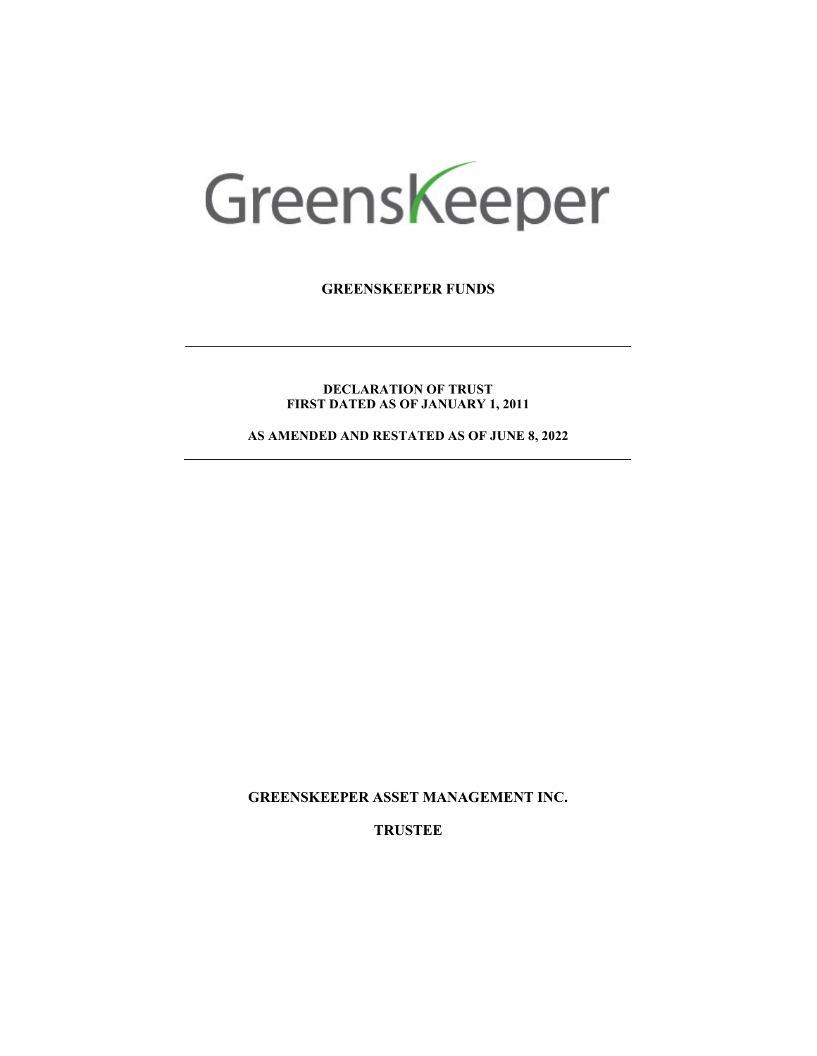# Greenskeeper

**GREENSKEEPER FUNDS**

**DECLARATION OF TRUST FIRST DATED AS OF JANUARY 1, 2011**

**AS AMENDED AND RESTATED AS OF JUNE 8, 2022**

**GREENSKEEPER ASSET MANAGEMENT INC.**

**TRUSTEE**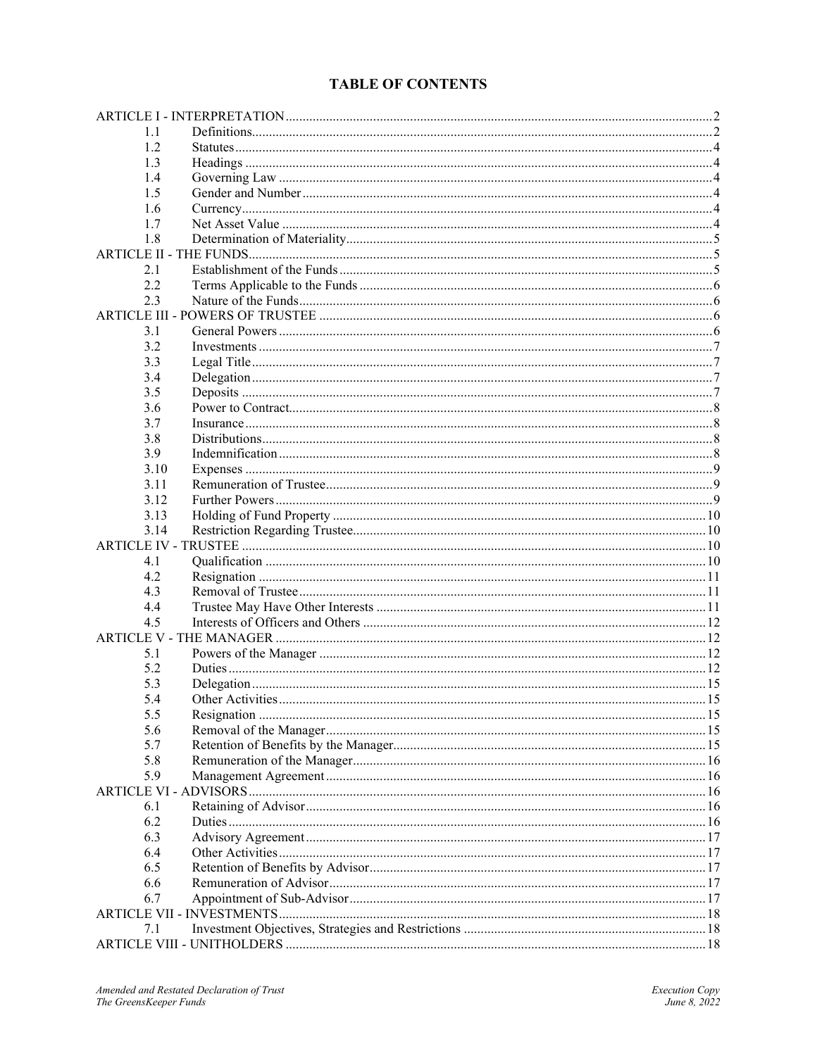# **TABLE OF CONTENTS**

| 1.1  |  |
|------|--|
| 1.2  |  |
| 1.3  |  |
| 1.4  |  |
| 1.5  |  |
| 1.6  |  |
| 1.7  |  |
| 1.8  |  |
|      |  |
| 2.1  |  |
| 2.2  |  |
| 2.3  |  |
|      |  |
| 3.1  |  |
| 3.2  |  |
| 3.3  |  |
| 3.4  |  |
| 3.5  |  |
| 3.6  |  |
|      |  |
| 3.7  |  |
| 3.8  |  |
| 3.9  |  |
| 3.10 |  |
| 3.11 |  |
| 3.12 |  |
| 3.13 |  |
| 3.14 |  |
|      |  |
| 4.1  |  |
| 4.2  |  |
| 4.3  |  |
| 4.4  |  |
| 4.5  |  |
|      |  |
| 5.1  |  |
| 5.2  |  |
| 5.3  |  |
| 5.4  |  |
| 5.5  |  |
| 5.6  |  |
| 5.7  |  |
| 5.8  |  |
| 5.9  |  |
|      |  |
| 6.1  |  |
| 6.2  |  |
| 6.3  |  |
| 6.4  |  |
| 6.5  |  |
| 6.6  |  |
| 6.7  |  |
|      |  |
| 7.1  |  |
|      |  |
|      |  |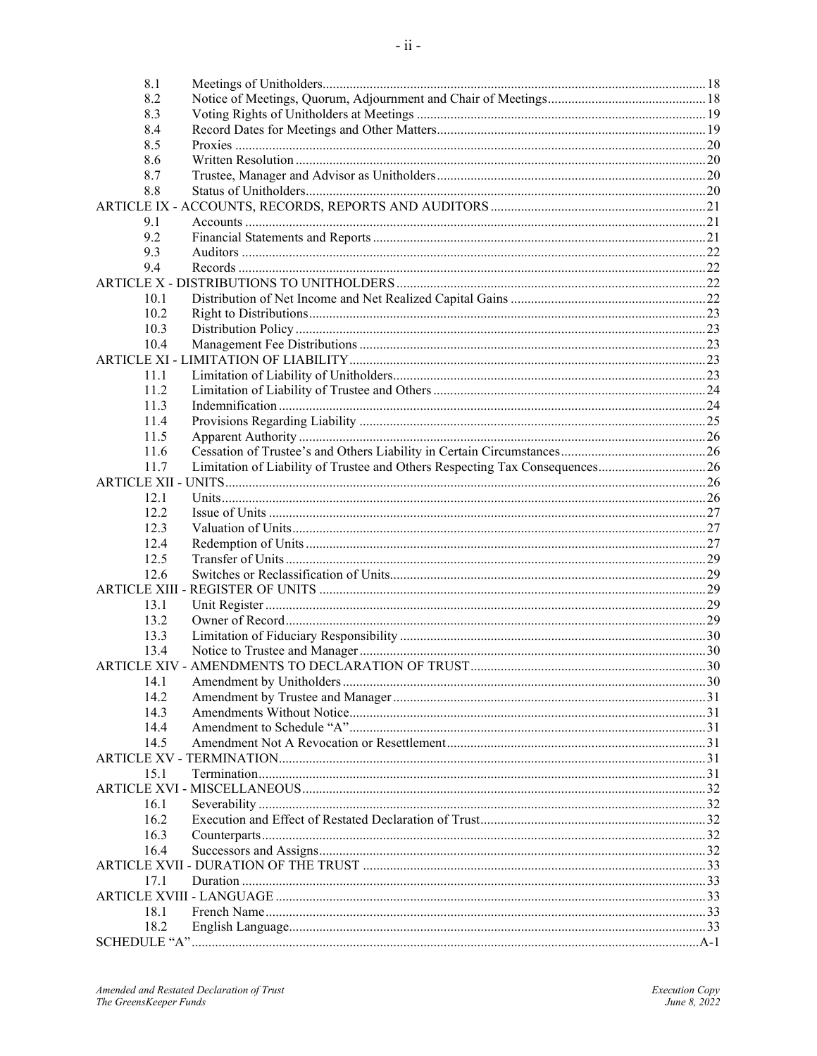| 8.1                  |                                                                             |  |
|----------------------|-----------------------------------------------------------------------------|--|
| 8.2                  |                                                                             |  |
| 8.3                  |                                                                             |  |
| 8.4                  |                                                                             |  |
|                      |                                                                             |  |
| 8.5<br>8.6           |                                                                             |  |
|                      |                                                                             |  |
| 8.7                  |                                                                             |  |
| 8.8                  |                                                                             |  |
|                      |                                                                             |  |
| 9.1                  |                                                                             |  |
| 9.2                  |                                                                             |  |
| 9.3                  |                                                                             |  |
| 9.4                  |                                                                             |  |
|                      |                                                                             |  |
| 10.1                 |                                                                             |  |
| 10.2                 |                                                                             |  |
| 10.3                 |                                                                             |  |
| 10.4                 |                                                                             |  |
|                      |                                                                             |  |
| 11.1                 |                                                                             |  |
| 11.2                 |                                                                             |  |
| 11.3                 |                                                                             |  |
| 11.4                 |                                                                             |  |
| 11.5                 |                                                                             |  |
| 11.6                 |                                                                             |  |
| 11.7                 | Limitation of Liability of Trustee and Others Respecting Tax Consequences26 |  |
|                      |                                                                             |  |
| 12.1                 |                                                                             |  |
| 12.2                 |                                                                             |  |
| 12.3                 |                                                                             |  |
| 12.4                 |                                                                             |  |
| 12.5                 |                                                                             |  |
| 12.6                 |                                                                             |  |
|                      |                                                                             |  |
| 13.1                 |                                                                             |  |
| 13.2                 |                                                                             |  |
| 13.3                 |                                                                             |  |
| 13.4                 |                                                                             |  |
| <b>ARTICLE XIV -</b> |                                                                             |  |
| 14.1                 |                                                                             |  |
| 14.2                 |                                                                             |  |
| 14.3                 |                                                                             |  |
| 14.4                 |                                                                             |  |
| 14.5                 |                                                                             |  |
|                      |                                                                             |  |
| 15.1                 |                                                                             |  |
|                      |                                                                             |  |
| 16.1                 |                                                                             |  |
| 16.2                 |                                                                             |  |
| 16.3                 |                                                                             |  |
| 16.4                 |                                                                             |  |
|                      |                                                                             |  |
| 17.1                 |                                                                             |  |
|                      |                                                                             |  |
| 18.1                 |                                                                             |  |
| 18.2                 |                                                                             |  |
|                      |                                                                             |  |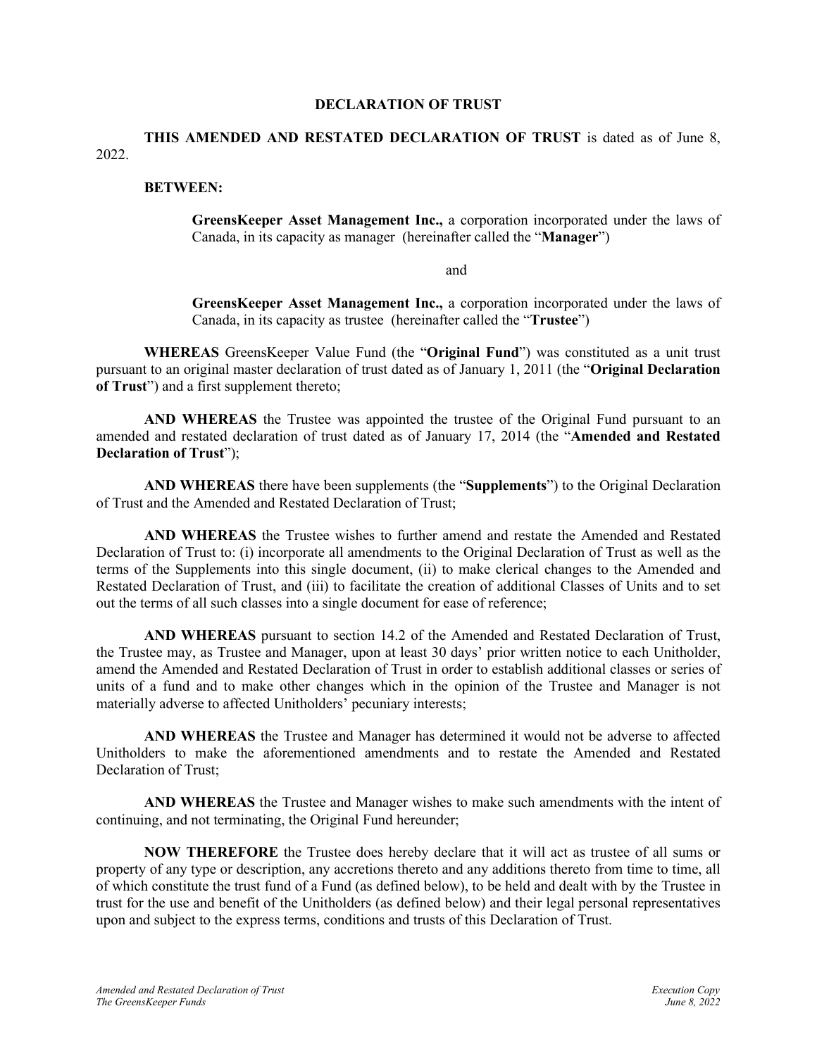#### **DECLARATION OF TRUST**

**THIS AMENDED AND RESTATED DECLARATION OF TRUST** is dated as of June 8, 2022.

#### **BETWEEN:**

**GreensKeeper Asset Management Inc.,** a corporation incorporated under the laws of Canada, in its capacity as manager (hereinafter called the "**Manager**")

and

**GreensKeeper Asset Management Inc.,** a corporation incorporated under the laws of Canada, in its capacity as trustee (hereinafter called the "**Trustee**")

**WHEREAS** GreensKeeper Value Fund (the "**Original Fund**") was constituted as a unit trust pursuant to an original master declaration of trust dated as of January 1, 2011 (the "**Original Declaration of Trust**") and a first supplement thereto;

**AND WHEREAS** the Trustee was appointed the trustee of the Original Fund pursuant to an amended and restated declaration of trust dated as of January 17, 2014 (the "**Amended and Restated Declaration of Trust**");

**AND WHEREAS** there have been supplements (the "**Supplements**") to the Original Declaration of Trust and the Amended and Restated Declaration of Trust;

**AND WHEREAS** the Trustee wishes to further amend and restate the Amended and Restated Declaration of Trust to: (i) incorporate all amendments to the Original Declaration of Trust as well as the terms of the Supplements into this single document, (ii) to make clerical changes to the Amended and Restated Declaration of Trust, and (iii) to facilitate the creation of additional Classes of Units and to set out the terms of all such classes into a single document for ease of reference;

**AND WHEREAS** pursuant to section 14.2 of the Amended and Restated Declaration of Trust, the Trustee may, as Trustee and Manager, upon at least 30 days' prior written notice to each Unitholder, amend the Amended and Restated Declaration of Trust in order to establish additional classes or series of units of a fund and to make other changes which in the opinion of the Trustee and Manager is not materially adverse to affected Unitholders' pecuniary interests;

**AND WHEREAS** the Trustee and Manager has determined it would not be adverse to affected Unitholders to make the aforementioned amendments and to restate the Amended and Restated Declaration of Trust;

**AND WHEREAS** the Trustee and Manager wishes to make such amendments with the intent of continuing, and not terminating, the Original Fund hereunder;

**NOW THEREFORE** the Trustee does hereby declare that it will act as trustee of all sums or property of any type or description, any accretions thereto and any additions thereto from time to time, all of which constitute the trust fund of a Fund (as defined below), to be held and dealt with by the Trustee in trust for the use and benefit of the Unitholders (as defined below) and their legal personal representatives upon and subject to the express terms, conditions and trusts of this Declaration of Trust.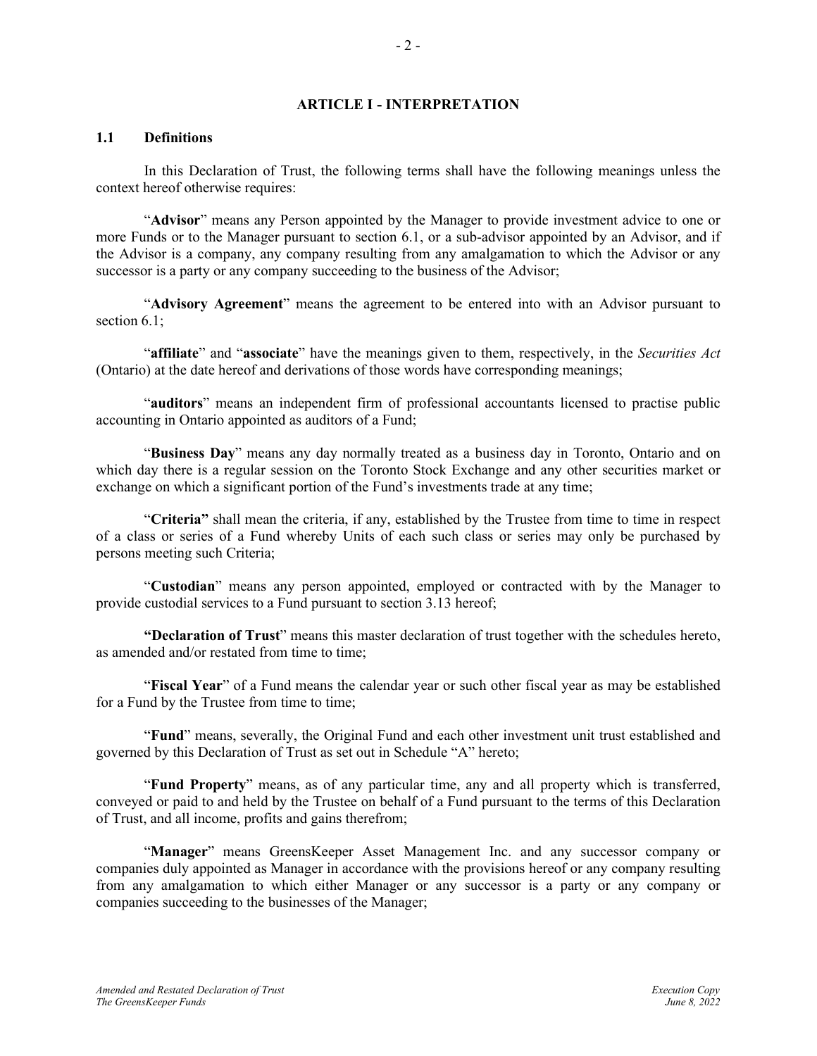#### **ARTICLE I - INTERPRETATION**

#### <span id="page-4-1"></span><span id="page-4-0"></span>**1.1 Definitions**

In this Declaration of Trust, the following terms shall have the following meanings unless the context hereof otherwise requires:

"**Advisor**" means any Person appointed by the Manager to provide investment advice to one or more Funds or to the Manager pursuant to section [6.1,](#page-18-3) or a sub-advisor appointed by an Advisor, and if the Advisor is a company, any company resulting from any amalgamation to which the Advisor or any successor is a party or any company succeeding to the business of the Advisor;

"**Advisory Agreement**" means the agreement to be entered into with an Advisor pursuant to section 6.1;

"**affiliate**" and "**associate**" have the meanings given to them, respectively, in the *Securities Act* (Ontario) at the date hereof and derivations of those words have corresponding meanings;

"**auditors**" means an independent firm of professional accountants licensed to practise public accounting in Ontario appointed as auditors of a Fund;

"**Business Day**" means any day normally treated as a business day in Toronto, Ontario and on which day there is a regular session on the Toronto Stock Exchange and any other securities market or exchange on which a significant portion of the Fund's investments trade at any time;

"**Criteria"** shall mean the criteria, if any, established by the Trustee from time to time in respect of a class or series of a Fund whereby Units of each such class or series may only be purchased by persons meeting such Criteria;

"**Custodian**" means any person appointed, employed or contracted with by the Manager to provide custodial services to a Fund pursuant to section 3.13 hereof;

**"Declaration of Trust**" means this master declaration of trust together with the schedules hereto, as amended and/or restated from time to time;

"**Fiscal Year**" of a Fund means the calendar year or such other fiscal year as may be established for a Fund by the Trustee from time to time;

"**Fund**" means, severally, the Original Fund and each other investment unit trust established and governed by this Declaration of Trust as set out in Schedule "A" hereto;

"**Fund Property**" means, as of any particular time, any and all property which is transferred, conveyed or paid to and held by the Trustee on behalf of a Fund pursuant to the terms of this Declaration of Trust, and all income, profits and gains therefrom;

"**Manager**" means GreensKeeper Asset Management Inc. and any successor company or companies duly appointed as Manager in accordance with the provisions hereof or any company resulting from any amalgamation to which either Manager or any successor is a party or any company or companies succeeding to the businesses of the Manager;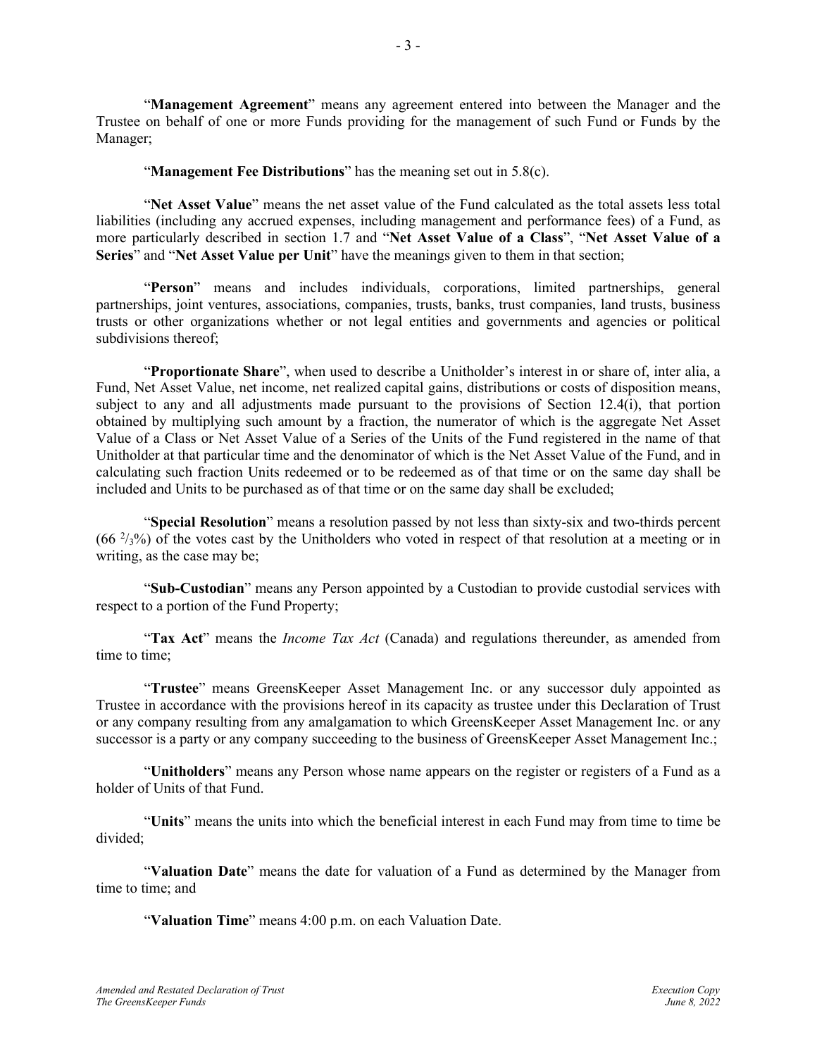"**Management Agreement**" means any agreement entered into between the Manager and the Trustee on behalf of one or more Funds providing for the management of such Fund or Funds by the

"**Management Fee Distributions**" has the meaning set out in [5.8\(c\).](#page-18-5)

Manager;

"**Net Asset Value**" means the net asset value of the Fund calculated as the total assets less total liabilities (including any accrued expenses, including management and performance fees) of a Fund, as more particularly described in section [1.7](#page-6-5) and "**Net Asset Value of a Class**", "**Net Asset Value of a Series**" and "**Net Asset Value per Unit**" have the meanings given to them in that section;

"**Person**" means and includes individuals, corporations, limited partnerships, general partnerships, joint ventures, associations, companies, trusts, banks, trust companies, land trusts, business trusts or other organizations whether or not legal entities and governments and agencies or political subdivisions thereof;

"**Proportionate Share**", when used to describe a Unitholder's interest in or share of, inter alia, a Fund, Net Asset Value, net income, net realized capital gains, distributions or costs of disposition means, subject to any and all adjustments made pursuant to the provisions of Section 12.4(i), that portion obtained by multiplying such amount by a fraction, the numerator of which is the aggregate Net Asset Value of a Class or Net Asset Value of a Series of the Units of the Fund registered in the name of that Unitholder at that particular time and the denominator of which is the Net Asset Value of the Fund, and in calculating such fraction Units redeemed or to be redeemed as of that time or on the same day shall be included and Units to be purchased as of that time or on the same day shall be excluded;

"**Special Resolution**" means a resolution passed by not less than sixty-six and two-thirds percent  $(66<sup>2</sup>/3%)$  of the votes cast by the Unitholders who voted in respect of that resolution at a meeting or in writing, as the case may be;

"**Sub-Custodian**" means any Person appointed by a Custodian to provide custodial services with respect to a portion of the Fund Property;

"**Tax Act**" means the *Income Tax Act* (Canada) and regulations thereunder, as amended from time to time;

"**Trustee**" means GreensKeeper Asset Management Inc. or any successor duly appointed as Trustee in accordance with the provisions hereof in its capacity as trustee under this Declaration of Trust or any company resulting from any amalgamation to which GreensKeeper Asset Management Inc. or any successor is a party or any company succeeding to the business of GreensKeeper Asset Management Inc.;

"**Unitholders**" means any Person whose name appears on the register or registers of a Fund as a holder of Units of that Fund.

"**Units**" means the units into which the beneficial interest in each Fund may from time to time be divided;

"**Valuation Date**" means the date for valuation of a Fund as determined by the Manager from time to time; and

"**Valuation Time**" means 4:00 p.m. on each Valuation Date.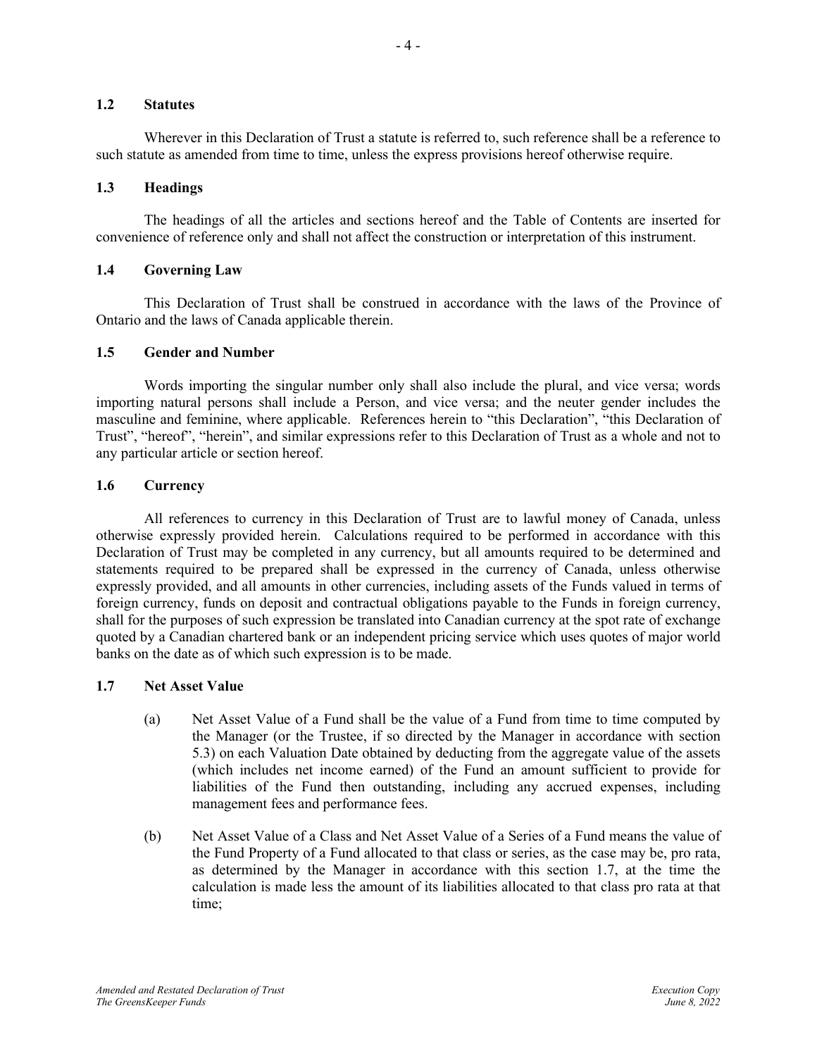#### <span id="page-6-0"></span>**1.2 Statutes**

Wherever in this Declaration of Trust a statute is referred to, such reference shall be a reference to such statute as amended from time to time, unless the express provisions hereof otherwise require.

## <span id="page-6-1"></span>**1.3 Headings**

The headings of all the articles and sections hereof and the Table of Contents are inserted for convenience of reference only and shall not affect the construction or interpretation of this instrument.

## <span id="page-6-2"></span>**1.4 Governing Law**

This Declaration of Trust shall be construed in accordance with the laws of the Province of Ontario and the laws of Canada applicable therein.

## <span id="page-6-3"></span>**1.5 Gender and Number**

Words importing the singular number only shall also include the plural, and vice versa; words importing natural persons shall include a Person, and vice versa; and the neuter gender includes the masculine and feminine, where applicable. References herein to "this Declaration", "this Declaration of Trust", "hereof", "herein", and similar expressions refer to this Declaration of Trust as a whole and not to any particular article or section hereof.

## <span id="page-6-4"></span>**1.6 Currency**

All references to currency in this Declaration of Trust are to lawful money of Canada, unless otherwise expressly provided herein. Calculations required to be performed in accordance with this Declaration of Trust may be completed in any currency, but all amounts required to be determined and statements required to be prepared shall be expressed in the currency of Canada, unless otherwise expressly provided, and all amounts in other currencies, including assets of the Funds valued in terms of foreign currency, funds on deposit and contractual obligations payable to the Funds in foreign currency, shall for the purposes of such expression be translated into Canadian currency at the spot rate of exchange quoted by a Canadian chartered bank or an independent pricing service which uses quotes of major world banks on the date as of which such expression is to be made.

## <span id="page-6-5"></span>**1.7 Net Asset Value**

- (a) Net Asset Value of a Fund shall be the value of a Fund from time to time computed by the Manager (or the Trustee, if so directed by the Manager in accordance with section [5.3\)](#page-17-0) on each Valuation Date obtained by deducting from the aggregate value of the assets (which includes net income earned) of the Fund an amount sufficient to provide for liabilities of the Fund then outstanding, including any accrued expenses, including management fees and performance fees.
- (b) Net Asset Value of a Class and Net Asset Value of a Series of a Fund means the value of the Fund Property of a Fund allocated to that class or series, as the case may be, pro rata, as determined by the Manager in accordance with this section [1.7,](#page-6-5) at the time the calculation is made less the amount of its liabilities allocated to that class pro rata at that time;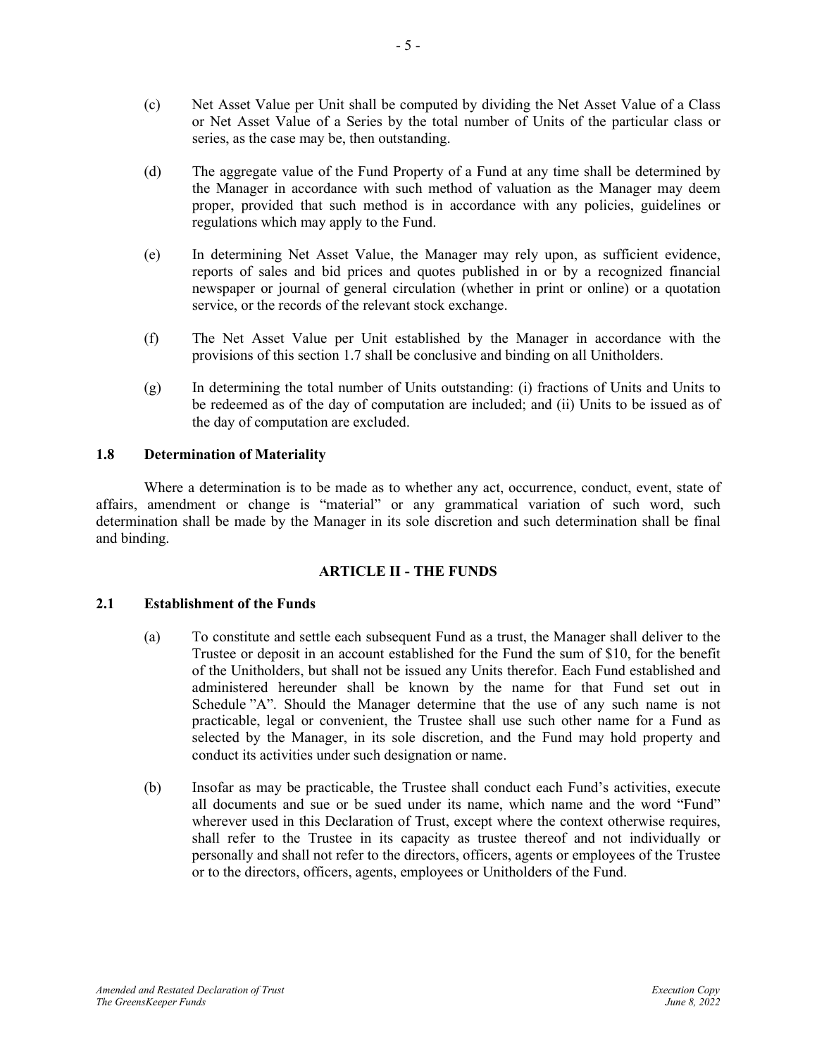- (c) Net Asset Value per Unit shall be computed by dividing the Net Asset Value of a Class or Net Asset Value of a Series by the total number of Units of the particular class or series, as the case may be, then outstanding.
- (d) The aggregate value of the Fund Property of a Fund at any time shall be determined by the Manager in accordance with such method of valuation as the Manager may deem proper, provided that such method is in accordance with any policies, guidelines or regulations which may apply to the Fund.
- (e) In determining Net Asset Value, the Manager may rely upon, as sufficient evidence, reports of sales and bid prices and quotes published in or by a recognized financial newspaper or journal of general circulation (whether in print or online) or a quotation service, or the records of the relevant stock exchange.
- (f) The Net Asset Value per Unit established by the Manager in accordance with the provisions of this section [1.7](#page-6-5) shall be conclusive and binding on all Unitholders.
- (g) In determining the total number of Units outstanding: (i) fractions of Units and Units to be redeemed as of the day of computation are included; and (ii) Units to be issued as of the day of computation are excluded.

## <span id="page-7-0"></span>**1.8 Determination of Materiality**

Where a determination is to be made as to whether any act, occurrence, conduct, event, state of affairs, amendment or change is "material" or any grammatical variation of such word, such determination shall be made by the Manager in its sole discretion and such determination shall be final and binding.

## **ARTICLE II - THE FUNDS**

## <span id="page-7-2"></span><span id="page-7-1"></span>**2.1 Establishment of the Funds**

- (a) To constitute and settle each subsequent Fund as a trust, the Manager shall deliver to the Trustee or deposit in an account established for the Fund the sum of \$10, for the benefit of the Unitholders, but shall not be issued any Units therefor. Each Fund established and administered hereunder shall be known by the name for that Fund set out in Schedule "A". Should the Manager determine that the use of any such name is not practicable, legal or convenient, the Trustee shall use such other name for a Fund as selected by the Manager, in its sole discretion, and the Fund may hold property and conduct its activities under such designation or name.
- (b) Insofar as may be practicable, the Trustee shall conduct each Fund's activities, execute all documents and sue or be sued under its name, which name and the word "Fund" wherever used in this Declaration of Trust, except where the context otherwise requires, shall refer to the Trustee in its capacity as trustee thereof and not individually or personally and shall not refer to the directors, officers, agents or employees of the Trustee or to the directors, officers, agents, employees or Unitholders of the Fund.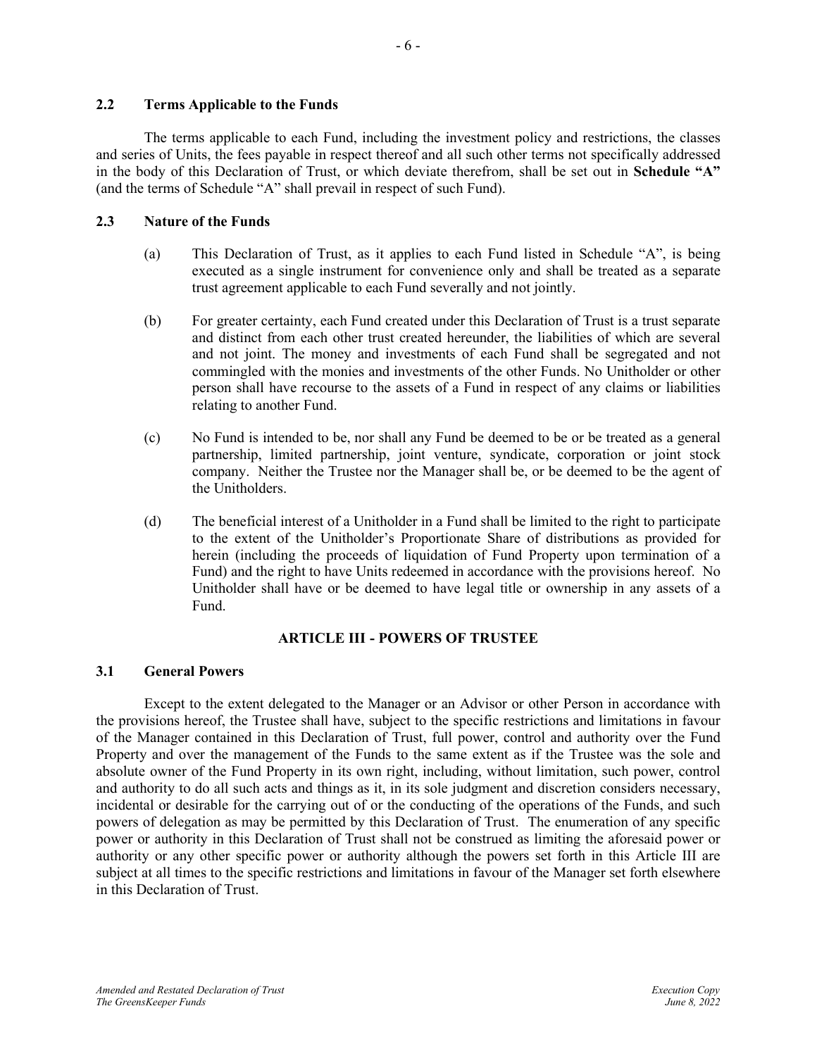#### <span id="page-8-0"></span>**2.2 Terms Applicable to the Funds**

The terms applicable to each Fund, including the investment policy and restrictions, the classes and series of Units, the fees payable in respect thereof and all such other terms not specifically addressed in the body of this Declaration of Trust, or which deviate therefrom, shall be set out in **Schedule "A"** (and the terms of Schedule "A" shall prevail in respect of such Fund).

## <span id="page-8-1"></span>**2.3 Nature of the Funds**

- (a) This Declaration of Trust, as it applies to each Fund listed in Schedule "A", is being executed as a single instrument for convenience only and shall be treated as a separate trust agreement applicable to each Fund severally and not jointly.
- (b) For greater certainty, each Fund created under this Declaration of Trust is a trust separate and distinct from each other trust created hereunder, the liabilities of which are several and not joint. The money and investments of each Fund shall be segregated and not commingled with the monies and investments of the other Funds. No Unitholder or other person shall have recourse to the assets of a Fund in respect of any claims or liabilities relating to another Fund.
- (c) No Fund is intended to be, nor shall any Fund be deemed to be or be treated as a general partnership, limited partnership, joint venture, syndicate, corporation or joint stock company. Neither the Trustee nor the Manager shall be, or be deemed to be the agent of the Unitholders.
- (d) The beneficial interest of a Unitholder in a Fund shall be limited to the right to participate to the extent of the Unitholder's Proportionate Share of distributions as provided for herein (including the proceeds of liquidation of Fund Property upon termination of a Fund) and the right to have Units redeemed in accordance with the provisions hereof. No Unitholder shall have or be deemed to have legal title or ownership in any assets of a Fund.

## **ARTICLE III - POWERS OF TRUSTEE**

## <span id="page-8-3"></span><span id="page-8-2"></span>**3.1 General Powers**

Except to the extent delegated to the Manager or an Advisor or other Person in accordance with the provisions hereof, the Trustee shall have, subject to the specific restrictions and limitations in favour of the Manager contained in this Declaration of Trust, full power, control and authority over the Fund Property and over the management of the Funds to the same extent as if the Trustee was the sole and absolute owner of the Fund Property in its own right, including, without limitation, such power, control and authority to do all such acts and things as it, in its sole judgment and discretion considers necessary, incidental or desirable for the carrying out of or the conducting of the operations of the Funds, and such powers of delegation as may be permitted by this Declaration of Trust. The enumeration of any specific power or authority in this Declaration of Trust shall not be construed as limiting the aforesaid power or authority or any other specific power or authority although the powers set forth in this Article III are subject at all times to the specific restrictions and limitations in favour of the Manager set forth elsewhere in this Declaration of Trust.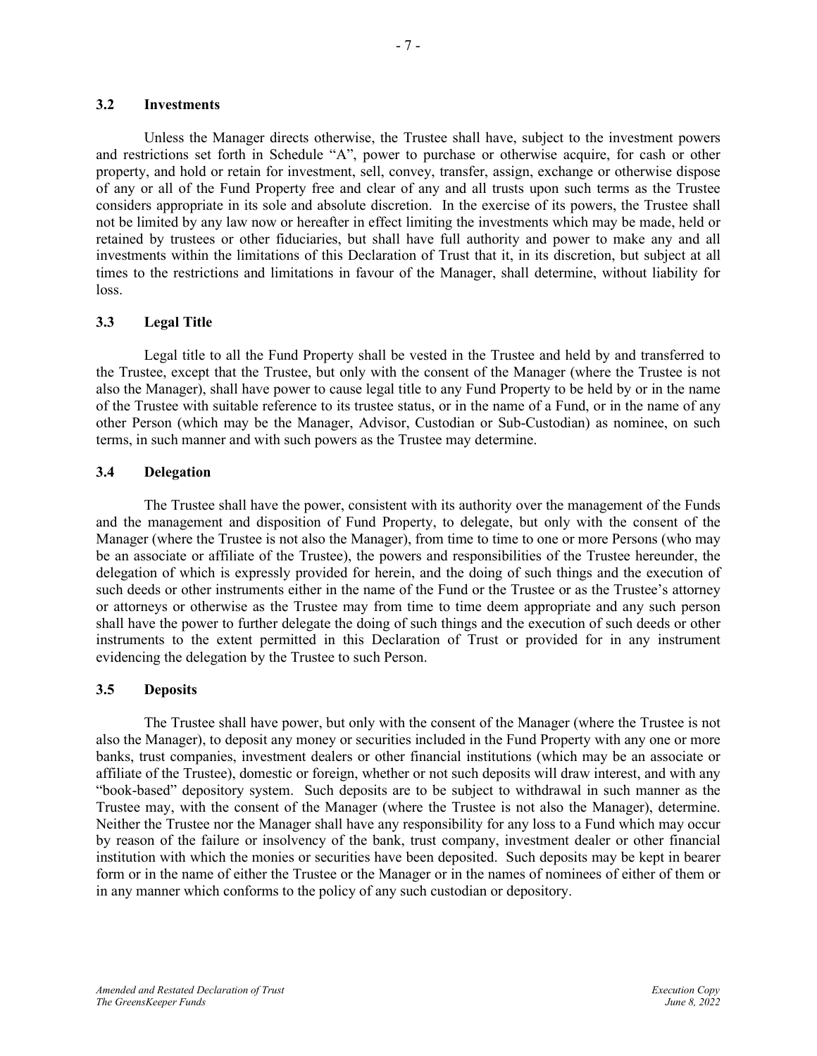<span id="page-9-0"></span>Unless the Manager directs otherwise, the Trustee shall have, subject to the investment powers and restrictions set forth in Schedule "A", power to purchase or otherwise acquire, for cash or other property, and hold or retain for investment, sell, convey, transfer, assign, exchange or otherwise dispose of any or all of the Fund Property free and clear of any and all trusts upon such terms as the Trustee considers appropriate in its sole and absolute discretion. In the exercise of its powers, the Trustee shall not be limited by any law now or hereafter in effect limiting the investments which may be made, held or retained by trustees or other fiduciaries, but shall have full authority and power to make any and all investments within the limitations of this Declaration of Trust that it, in its discretion, but subject at all times to the restrictions and limitations in favour of the Manager, shall determine, without liability for loss.

## <span id="page-9-1"></span>**3.3 Legal Title**

Legal title to all the Fund Property shall be vested in the Trustee and held by and transferred to the Trustee, except that the Trustee, but only with the consent of the Manager (where the Trustee is not also the Manager), shall have power to cause legal title to any Fund Property to be held by or in the name of the Trustee with suitable reference to its trustee status, or in the name of a Fund, or in the name of any other Person (which may be the Manager, Advisor, Custodian or Sub-Custodian) as nominee, on such terms, in such manner and with such powers as the Trustee may determine.

## <span id="page-9-2"></span>**3.4 Delegation**

The Trustee shall have the power, consistent with its authority over the management of the Funds and the management and disposition of Fund Property, to delegate, but only with the consent of the Manager (where the Trustee is not also the Manager), from time to time to one or more Persons (who may be an associate or affiliate of the Trustee), the powers and responsibilities of the Trustee hereunder, the delegation of which is expressly provided for herein, and the doing of such things and the execution of such deeds or other instruments either in the name of the Fund or the Trustee or as the Trustee's attorney or attorneys or otherwise as the Trustee may from time to time deem appropriate and any such person shall have the power to further delegate the doing of such things and the execution of such deeds or other instruments to the extent permitted in this Declaration of Trust or provided for in any instrument evidencing the delegation by the Trustee to such Person.

## <span id="page-9-3"></span>**3.5 Deposits**

The Trustee shall have power, but only with the consent of the Manager (where the Trustee is not also the Manager), to deposit any money or securities included in the Fund Property with any one or more banks, trust companies, investment dealers or other financial institutions (which may be an associate or affiliate of the Trustee), domestic or foreign, whether or not such deposits will draw interest, and with any "book-based" depository system. Such deposits are to be subject to withdrawal in such manner as the Trustee may, with the consent of the Manager (where the Trustee is not also the Manager), determine. Neither the Trustee nor the Manager shall have any responsibility for any loss to a Fund which may occur by reason of the failure or insolvency of the bank, trust company, investment dealer or other financial institution with which the monies or securities have been deposited. Such deposits may be kept in bearer form or in the name of either the Trustee or the Manager or in the names of nominees of either of them or in any manner which conforms to the policy of any such custodian or depository.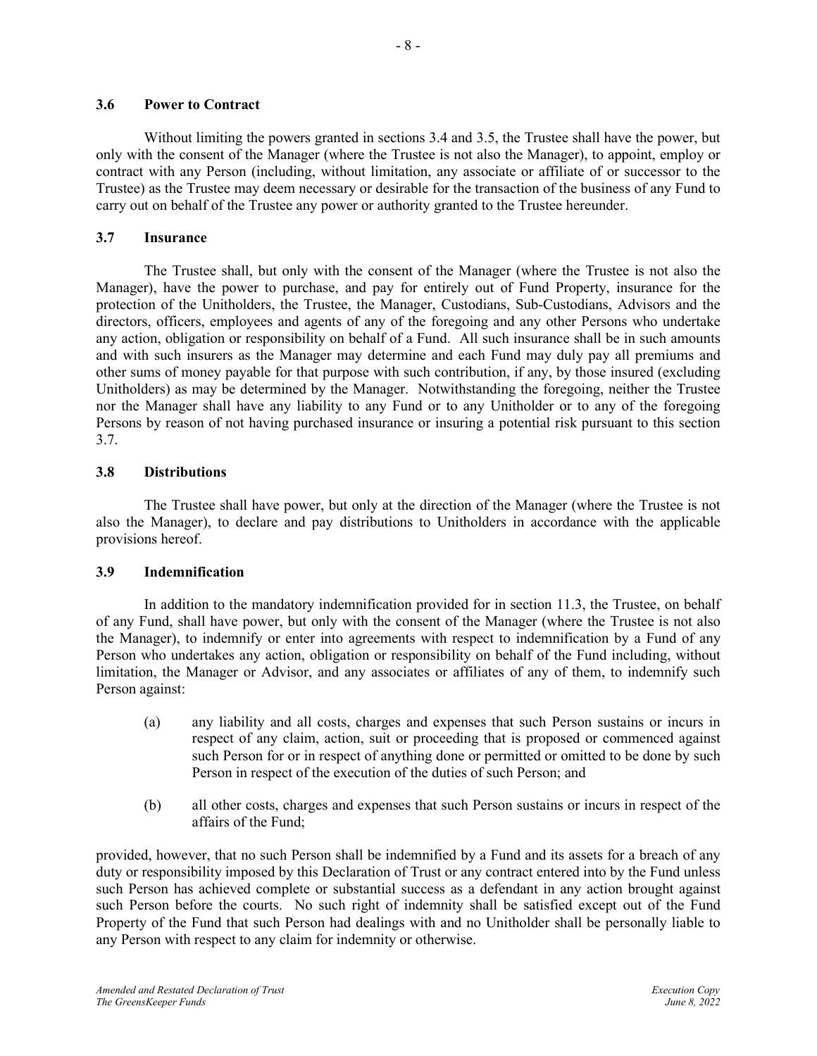<span id="page-10-0"></span>Without limiting the powers granted in sections [3.4](#page-9-2) and [3.5,](#page-9-3) the Trustee shall have the power, but only with the consent of the Manager (where the Trustee is not also the Manager), to appoint, employ or contract with any Person (including, without limitation, any associate or affiliate of or successor to the Trustee) as the Trustee may deem necessary or desirable for the transaction of the business of any Fund to carry out on behalf of the Trustee any power or authority granted to the Trustee hereunder.

## <span id="page-10-1"></span>**3.7 Insurance**

The Trustee shall, but only with the consent of the Manager (where the Trustee is not also the Manager), have the power to purchase, and pay for entirely out of Fund Property, insurance for the protection of the Unitholders, the Trustee, the Manager, Custodians, Sub-Custodians, Advisors and the directors, officers, employees and agents of any of the foregoing and any other Persons who undertake any action, obligation or responsibility on behalf of a Fund. All such insurance shall be in such amounts and with such insurers as the Manager may determine and each Fund may duly pay all premiums and other sums of money payable for that purpose with such contribution, if any, by those insured (excluding Unitholders) as may be determined by the Manager. Notwithstanding the foregoing, neither the Trustee nor the Manager shall have any liability to any Fund or to any Unitholder or to any of the foregoing Persons by reason of not having purchased insurance or insuring a potential risk pursuant to this section [3.7.](#page-10-1)

## <span id="page-10-2"></span>**3.8 Distributions**

The Trustee shall have power, but only at the direction of the Manager (where the Trustee is not also the Manager), to declare and pay distributions to Unitholders in accordance with the applicable provisions hereof.

## <span id="page-10-3"></span>**3.9 Indemnification**

In addition to the mandatory indemnification provided for in section [11.3,](#page-26-1) the Trustee, on behalf of any Fund, shall have power, but only with the consent of the Manager (where the Trustee is not also the Manager), to indemnify or enter into agreements with respect to indemnification by a Fund of any Person who undertakes any action, obligation or responsibility on behalf of the Fund including, without limitation, the Manager or Advisor, and any associates or affiliates of any of them, to indemnify such Person against:

- (a) any liability and all costs, charges and expenses that such Person sustains or incurs in respect of any claim, action, suit or proceeding that is proposed or commenced against such Person for or in respect of anything done or permitted or omitted to be done by such Person in respect of the execution of the duties of such Person; and
- (b) all other costs, charges and expenses that such Person sustains or incurs in respect of the affairs of the Fund;

provided, however, that no such Person shall be indemnified by a Fund and its assets for a breach of any duty or responsibility imposed by this Declaration of Trust or any contract entered into by the Fund unless such Person has achieved complete or substantial success as a defendant in any action brought against such Person before the courts. No such right of indemnity shall be satisfied except out of the Fund Property of the Fund that such Person had dealings with and no Unitholder shall be personally liable to any Person with respect to any claim for indemnity or otherwise.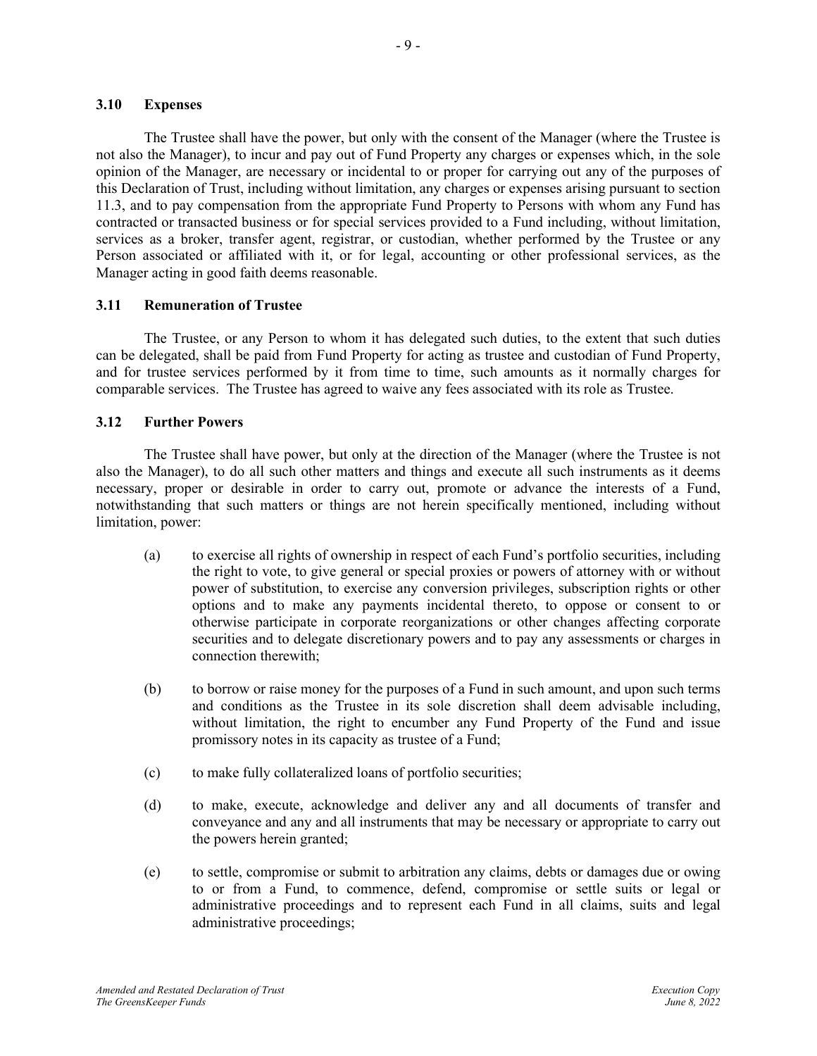#### <span id="page-11-0"></span>**3.10 Expenses**

The Trustee shall have the power, but only with the consent of the Manager (where the Trustee is not also the Manager), to incur and pay out of Fund Property any charges or expenses which, in the sole opinion of the Manager, are necessary or incidental to or proper for carrying out any of the purposes of this Declaration of Trust, including without limitation, any charges or expenses arising pursuant to section [11.3,](#page-26-1) and to pay compensation from the appropriate Fund Property to Persons with whom any Fund has contracted or transacted business or for special services provided to a Fund including, without limitation, services as a broker, transfer agent, registrar, or custodian, whether performed by the Trustee or any Person associated or affiliated with it, or for legal, accounting or other professional services, as the Manager acting in good faith deems reasonable.

## <span id="page-11-1"></span>**3.11 Remuneration of Trustee**

The Trustee, or any Person to whom it has delegated such duties, to the extent that such duties can be delegated, shall be paid from Fund Property for acting as trustee and custodian of Fund Property, and for trustee services performed by it from time to time, such amounts as it normally charges for comparable services. The Trustee has agreed to waive any fees associated with its role as Trustee.

## <span id="page-11-2"></span>**3.12 Further Powers**

The Trustee shall have power, but only at the direction of the Manager (where the Trustee is not also the Manager), to do all such other matters and things and execute all such instruments as it deems necessary, proper or desirable in order to carry out, promote or advance the interests of a Fund, notwithstanding that such matters or things are not herein specifically mentioned, including without limitation, power:

- (a) to exercise all rights of ownership in respect of each Fund's portfolio securities, including the right to vote, to give general or special proxies or powers of attorney with or without power of substitution, to exercise any conversion privileges, subscription rights or other options and to make any payments incidental thereto, to oppose or consent to or otherwise participate in corporate reorganizations or other changes affecting corporate securities and to delegate discretionary powers and to pay any assessments or charges in connection therewith;
- (b) to borrow or raise money for the purposes of a Fund in such amount, and upon such terms and conditions as the Trustee in its sole discretion shall deem advisable including, without limitation, the right to encumber any Fund Property of the Fund and issue promissory notes in its capacity as trustee of a Fund;
- (c) to make fully collateralized loans of portfolio securities;
- (d) to make, execute, acknowledge and deliver any and all documents of transfer and conveyance and any and all instruments that may be necessary or appropriate to carry out the powers herein granted;
- (e) to settle, compromise or submit to arbitration any claims, debts or damages due or owing to or from a Fund, to commence, defend, compromise or settle suits or legal or administrative proceedings and to represent each Fund in all claims, suits and legal administrative proceedings;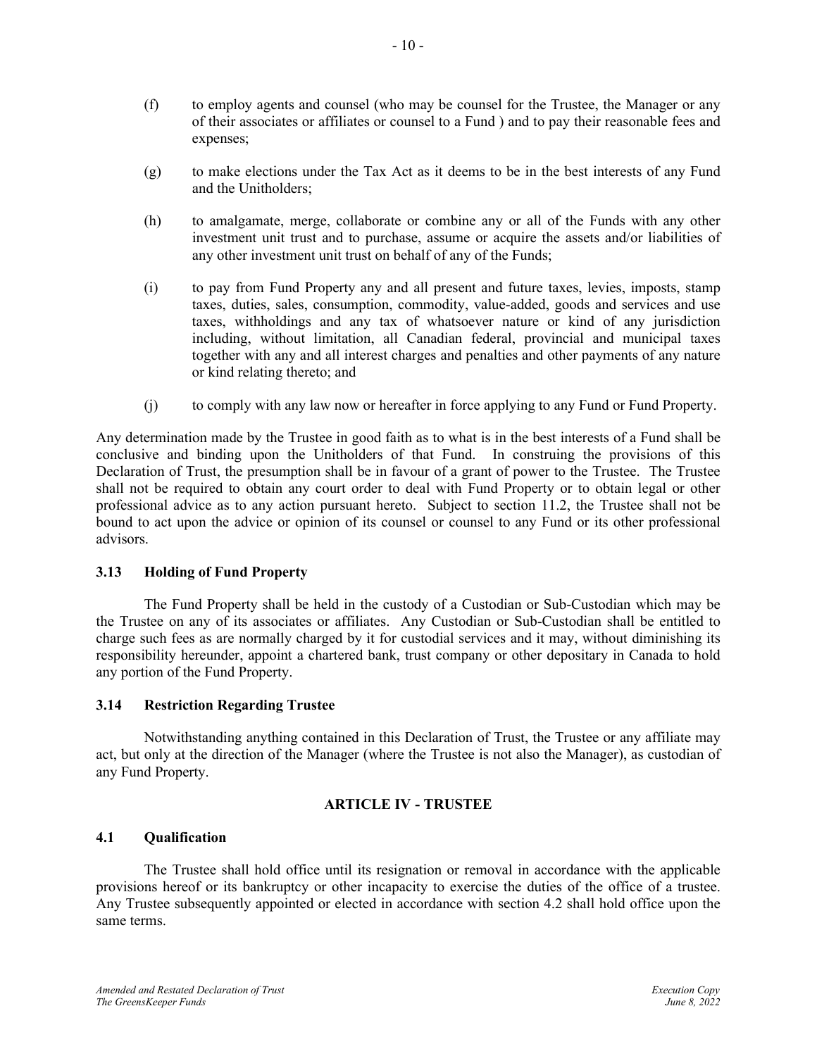- (f) to employ agents and counsel (who may be counsel for the Trustee, the Manager or any of their associates or affiliates or counsel to a Fund ) and to pay their reasonable fees and expenses;
- (g) to make elections under the Tax Act as it deems to be in the best interests of any Fund and the Unitholders;
- (h) to amalgamate, merge, collaborate or combine any or all of the Funds with any other investment unit trust and to purchase, assume or acquire the assets and/or liabilities of any other investment unit trust on behalf of any of the Funds;
- (i) to pay from Fund Property any and all present and future taxes, levies, imposts, stamp taxes, duties, sales, consumption, commodity, value-added, goods and services and use taxes, withholdings and any tax of whatsoever nature or kind of any jurisdiction including, without limitation, all Canadian federal, provincial and municipal taxes together with any and all interest charges and penalties and other payments of any nature or kind relating thereto; and
- (j) to comply with any law now or hereafter in force applying to any Fund or Fund Property.

Any determination made by the Trustee in good faith as to what is in the best interests of a Fund shall be conclusive and binding upon the Unitholders of that Fund. In construing the provisions of this Declaration of Trust, the presumption shall be in favour of a grant of power to the Trustee. The Trustee shall not be required to obtain any court order to deal with Fund Property or to obtain legal or other professional advice as to any action pursuant hereto. Subject to section 11.2, the Trustee shall not be bound to act upon the advice or opinion of its counsel or counsel to any Fund or its other professional advisors.

## <span id="page-12-0"></span>**3.13 Holding of Fund Property**

The Fund Property shall be held in the custody of a Custodian or Sub-Custodian which may be the Trustee on any of its associates or affiliates. Any Custodian or Sub-Custodian shall be entitled to charge such fees as are normally charged by it for custodial services and it may, without diminishing its responsibility hereunder, appoint a chartered bank, trust company or other depositary in Canada to hold any portion of the Fund Property.

## <span id="page-12-1"></span>**3.14 Restriction Regarding Trustee**

Notwithstanding anything contained in this Declaration of Trust, the Trustee or any affiliate may act, but only at the direction of the Manager (where the Trustee is not also the Manager), as custodian of any Fund Property.

## **ARTICLE IV - TRUSTEE**

## <span id="page-12-3"></span><span id="page-12-2"></span>**4.1 Qualification**

The Trustee shall hold office until its resignation or removal in accordance with the applicable provisions hereof or its bankruptcy or other incapacity to exercise the duties of the office of a trustee. Any Trustee subsequently appointed or elected in accordance with section 4.2 shall hold office upon the same terms.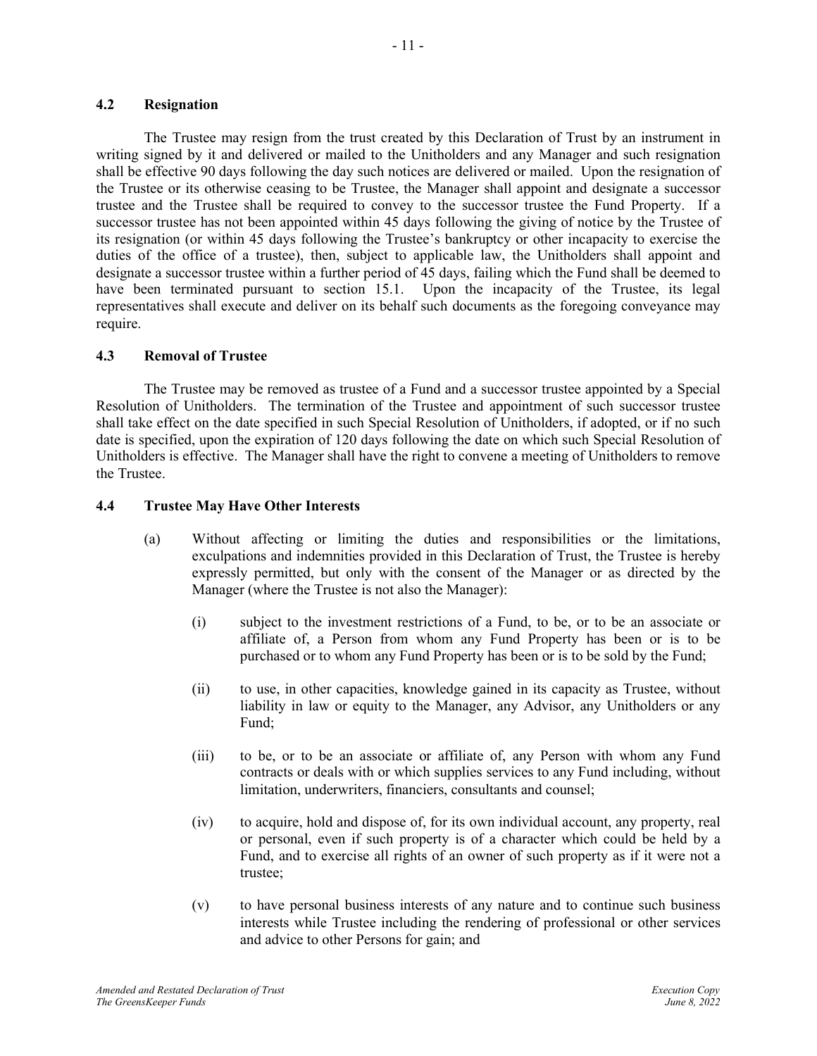#### <span id="page-13-0"></span>**4.2 Resignation**

The Trustee may resign from the trust created by this Declaration of Trust by an instrument in writing signed by it and delivered or mailed to the Unitholders and any Manager and such resignation shall be effective 90 days following the day such notices are delivered or mailed. Upon the resignation of the Trustee or its otherwise ceasing to be Trustee, the Manager shall appoint and designate a successor trustee and the Trustee shall be required to convey to the successor trustee the Fund Property. If a successor trustee has not been appointed within 45 days following the giving of notice by the Trustee of its resignation (or within 45 days following the Trustee's bankruptcy or other incapacity to exercise the duties of the office of a trustee), then, subject to applicable law, the Unitholders shall appoint and designate a successor trustee within a further period of 45 days, failing which the Fund shall be deemed to have been terminated pursuant to section 15.1. Upon the incapacity of the Trustee, its legal representatives shall execute and deliver on its behalf such documents as the foregoing conveyance may require.

## <span id="page-13-1"></span>**4.3 Removal of Trustee**

The Trustee may be removed as trustee of a Fund and a successor trustee appointed by a Special Resolution of Unitholders. The termination of the Trustee and appointment of such successor trustee shall take effect on the date specified in such Special Resolution of Unitholders, if adopted, or if no such date is specified, upon the expiration of 120 days following the date on which such Special Resolution of Unitholders is effective. The Manager shall have the right to convene a meeting of Unitholders to remove the Trustee.

## <span id="page-13-2"></span>**4.4 Trustee May Have Other Interests**

- (a) Without affecting or limiting the duties and responsibilities or the limitations, exculpations and indemnities provided in this Declaration of Trust, the Trustee is hereby expressly permitted, but only with the consent of the Manager or as directed by the Manager (where the Trustee is not also the Manager):
	- (i) subject to the investment restrictions of a Fund, to be, or to be an associate or affiliate of, a Person from whom any Fund Property has been or is to be purchased or to whom any Fund Property has been or is to be sold by the Fund;
	- (ii) to use, in other capacities, knowledge gained in its capacity as Trustee, without liability in law or equity to the Manager, any Advisor, any Unitholders or any Fund;
	- (iii) to be, or to be an associate or affiliate of, any Person with whom any Fund contracts or deals with or which supplies services to any Fund including, without limitation, underwriters, financiers, consultants and counsel;
	- (iv) to acquire, hold and dispose of, for its own individual account, any property, real or personal, even if such property is of a character which could be held by a Fund, and to exercise all rights of an owner of such property as if it were not a trustee;
	- (v) to have personal business interests of any nature and to continue such business interests while Trustee including the rendering of professional or other services and advice to other Persons for gain; and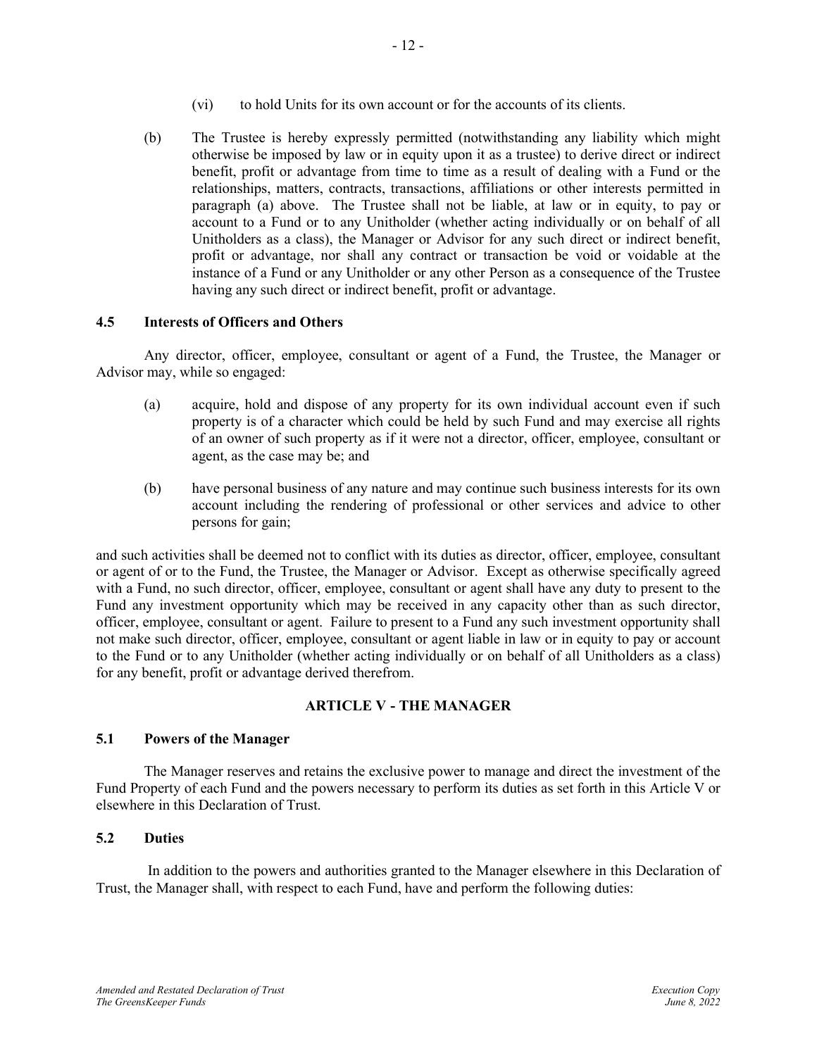- (vi) to hold Units for its own account or for the accounts of its clients.
- (b) The Trustee is hereby expressly permitted (notwithstanding any liability which might otherwise be imposed by law or in equity upon it as a trustee) to derive direct or indirect benefit, profit or advantage from time to time as a result of dealing with a Fund or the relationships, matters, contracts, transactions, affiliations or other interests permitted in paragraph (a) above. The Trustee shall not be liable, at law or in equity, to pay or account to a Fund or to any Unitholder (whether acting individually or on behalf of all Unitholders as a class), the Manager or Advisor for any such direct or indirect benefit, profit or advantage, nor shall any contract or transaction be void or voidable at the instance of a Fund or any Unitholder or any other Person as a consequence of the Trustee having any such direct or indirect benefit, profit or advantage.

# <span id="page-14-0"></span>**4.5 Interests of Officers and Others**

Any director, officer, employee, consultant or agent of a Fund, the Trustee, the Manager or Advisor may, while so engaged:

- (a) acquire, hold and dispose of any property for its own individual account even if such property is of a character which could be held by such Fund and may exercise all rights of an owner of such property as if it were not a director, officer, employee, consultant or agent, as the case may be; and
- (b) have personal business of any nature and may continue such business interests for its own account including the rendering of professional or other services and advice to other persons for gain;

and such activities shall be deemed not to conflict with its duties as director, officer, employee, consultant or agent of or to the Fund, the Trustee, the Manager or Advisor. Except as otherwise specifically agreed with a Fund, no such director, officer, employee, consultant or agent shall have any duty to present to the Fund any investment opportunity which may be received in any capacity other than as such director, officer, employee, consultant or agent. Failure to present to a Fund any such investment opportunity shall not make such director, officer, employee, consultant or agent liable in law or in equity to pay or account to the Fund or to any Unitholder (whether acting individually or on behalf of all Unitholders as a class) for any benefit, profit or advantage derived therefrom.

# **ARTICLE V - THE MANAGER**

# <span id="page-14-2"></span><span id="page-14-1"></span>**5.1 Powers of the Manager**

The Manager reserves and retains the exclusive power to manage and direct the investment of the Fund Property of each Fund and the powers necessary to perform its duties as set forth in this Article V or elsewhere in this Declaration of Trust.

# <span id="page-14-3"></span>**5.2 Duties**

In addition to the powers and authorities granted to the Manager elsewhere in this Declaration of Trust, the Manager shall, with respect to each Fund, have and perform the following duties: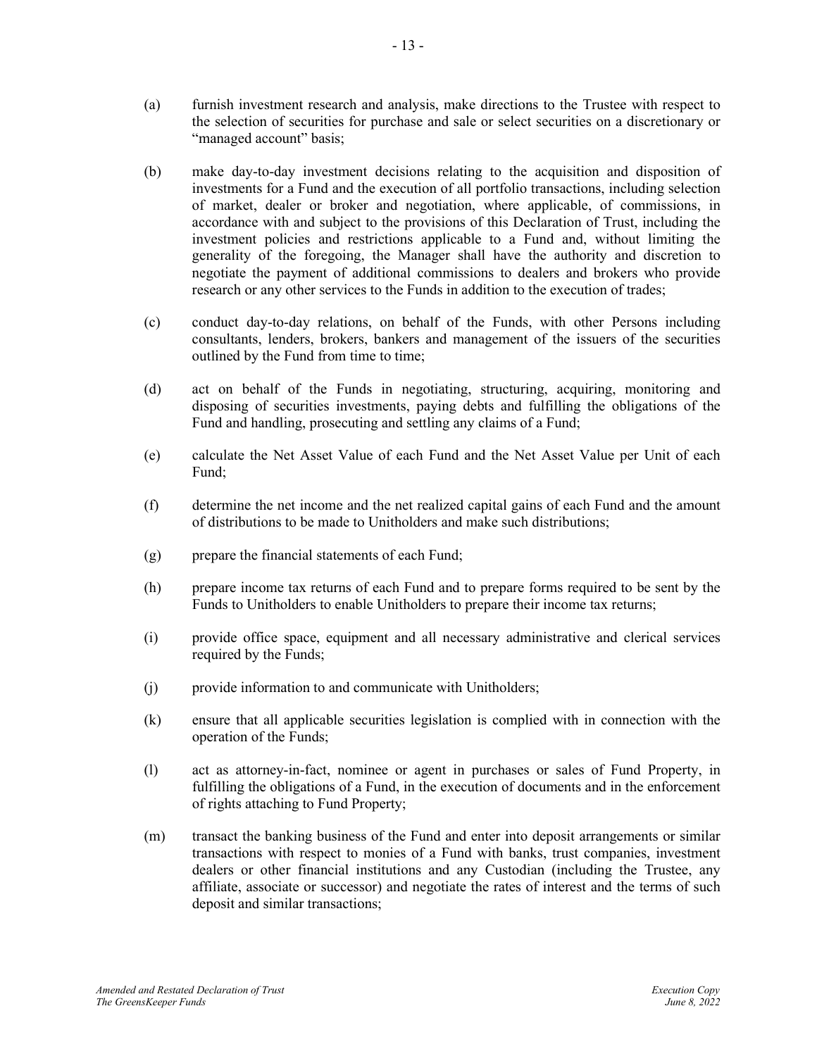- (a) furnish investment research and analysis, make directions to the Trustee with respect to the selection of securities for purchase and sale or select securities on a discretionary or "managed account" basis;
- (b) make day-to-day investment decisions relating to the acquisition and disposition of investments for a Fund and the execution of all portfolio transactions, including selection of market, dealer or broker and negotiation, where applicable, of commissions, in accordance with and subject to the provisions of this Declaration of Trust, including the investment policies and restrictions applicable to a Fund and, without limiting the generality of the foregoing, the Manager shall have the authority and discretion to negotiate the payment of additional commissions to dealers and brokers who provide research or any other services to the Funds in addition to the execution of trades;
- (c) conduct day-to-day relations, on behalf of the Funds, with other Persons including consultants, lenders, brokers, bankers and management of the issuers of the securities outlined by the Fund from time to time;
- (d) act on behalf of the Funds in negotiating, structuring, acquiring, monitoring and disposing of securities investments, paying debts and fulfilling the obligations of the Fund and handling, prosecuting and settling any claims of a Fund;
- (e) calculate the Net Asset Value of each Fund and the Net Asset Value per Unit of each Fund;
- (f) determine the net income and the net realized capital gains of each Fund and the amount of distributions to be made to Unitholders and make such distributions;
- (g) prepare the financial statements of each Fund;
- (h) prepare income tax returns of each Fund and to prepare forms required to be sent by the Funds to Unitholders to enable Unitholders to prepare their income tax returns;
- (i) provide office space, equipment and all necessary administrative and clerical services required by the Funds;
- (j) provide information to and communicate with Unitholders;
- (k) ensure that all applicable securities legislation is complied with in connection with the operation of the Funds;
- (l) act as attorney-in-fact, nominee or agent in purchases or sales of Fund Property, in fulfilling the obligations of a Fund, in the execution of documents and in the enforcement of rights attaching to Fund Property;
- (m) transact the banking business of the Fund and enter into deposit arrangements or similar transactions with respect to monies of a Fund with banks, trust companies, investment dealers or other financial institutions and any Custodian (including the Trustee, any affiliate, associate or successor) and negotiate the rates of interest and the terms of such deposit and similar transactions;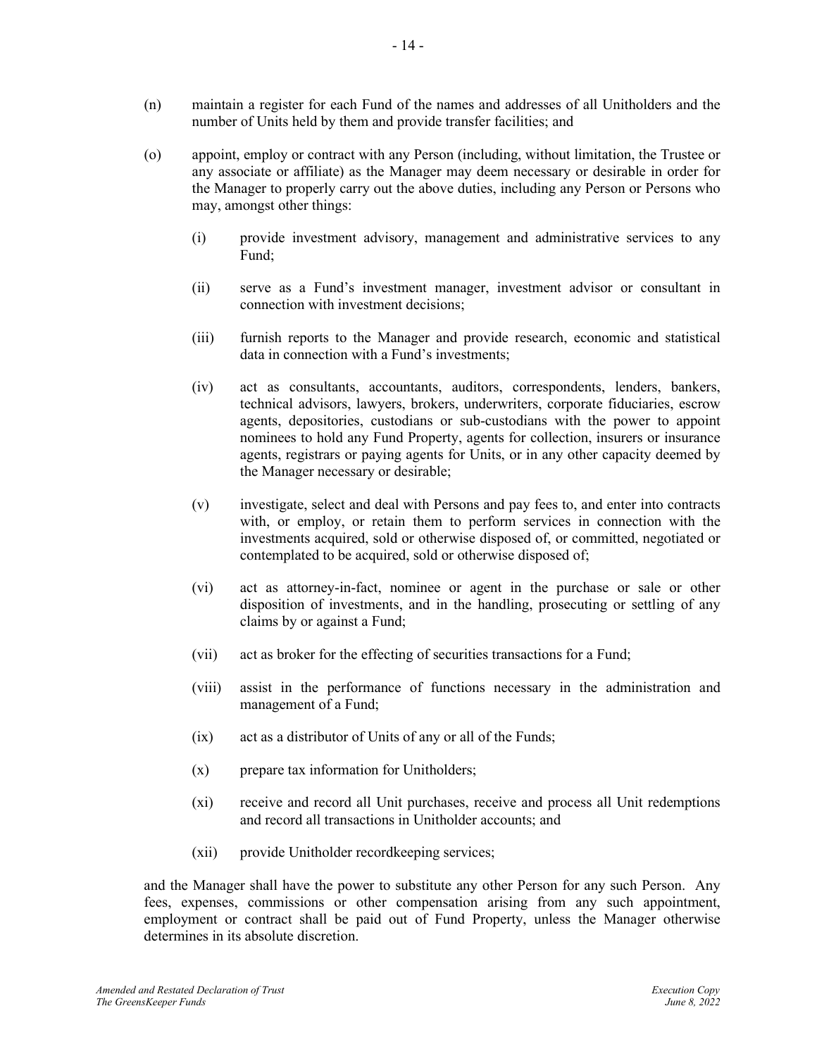- (n) maintain a register for each Fund of the names and addresses of all Unitholders and the number of Units held by them and provide transfer facilities; and
- (o) appoint, employ or contract with any Person (including, without limitation, the Trustee or any associate or affiliate) as the Manager may deem necessary or desirable in order for the Manager to properly carry out the above duties, including any Person or Persons who may, amongst other things:
	- (i) provide investment advisory, management and administrative services to any Fund;
	- (ii) serve as a Fund's investment manager, investment advisor or consultant in connection with investment decisions;
	- (iii) furnish reports to the Manager and provide research, economic and statistical data in connection with a Fund's investments;
	- (iv) act as consultants, accountants, auditors, correspondents, lenders, bankers, technical advisors, lawyers, brokers, underwriters, corporate fiduciaries, escrow agents, depositories, custodians or sub-custodians with the power to appoint nominees to hold any Fund Property, agents for collection, insurers or insurance agents, registrars or paying agents for Units, or in any other capacity deemed by the Manager necessary or desirable;
	- (v) investigate, select and deal with Persons and pay fees to, and enter into contracts with, or employ, or retain them to perform services in connection with the investments acquired, sold or otherwise disposed of, or committed, negotiated or contemplated to be acquired, sold or otherwise disposed of;
	- (vi) act as attorney-in-fact, nominee or agent in the purchase or sale or other disposition of investments, and in the handling, prosecuting or settling of any claims by or against a Fund;
	- (vii) act as broker for the effecting of securities transactions for a Fund;
	- (viii) assist in the performance of functions necessary in the administration and management of a Fund;
	- (ix) act as a distributor of Units of any or all of the Funds;
	- (x) prepare tax information for Unitholders;
	- (xi) receive and record all Unit purchases, receive and process all Unit redemptions and record all transactions in Unitholder accounts; and
	- (xii) provide Unitholder recordkeeping services;

and the Manager shall have the power to substitute any other Person for any such Person. Any fees, expenses, commissions or other compensation arising from any such appointment, employment or contract shall be paid out of Fund Property, unless the Manager otherwise determines in its absolute discretion.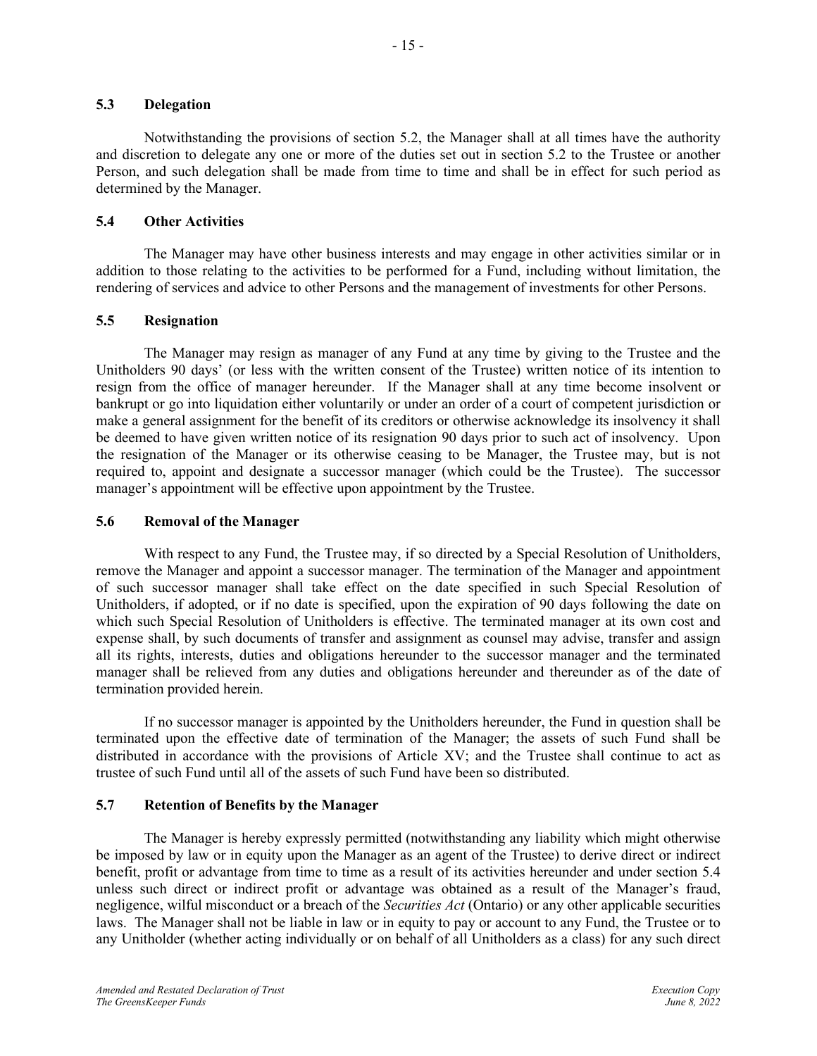#### <span id="page-17-0"></span>**5.3 Delegation**

Notwithstanding the provisions of section [5.2,](#page-14-3) the Manager shall at all times have the authority and discretion to delegate any one or more of the duties set out in section 5.2 to the Trustee or another Person, and such delegation shall be made from time to time and shall be in effect for such period as determined by the Manager.

## <span id="page-17-1"></span>**5.4 Other Activities**

The Manager may have other business interests and may engage in other activities similar or in addition to those relating to the activities to be performed for a Fund, including without limitation, the rendering of services and advice to other Persons and the management of investments for other Persons.

## <span id="page-17-2"></span>**5.5 Resignation**

The Manager may resign as manager of any Fund at any time by giving to the Trustee and the Unitholders 90 days' (or less with the written consent of the Trustee) written notice of its intention to resign from the office of manager hereunder. If the Manager shall at any time become insolvent or bankrupt or go into liquidation either voluntarily or under an order of a court of competent jurisdiction or make a general assignment for the benefit of its creditors or otherwise acknowledge its insolvency it shall be deemed to have given written notice of its resignation 90 days prior to such act of insolvency. Upon the resignation of the Manager or its otherwise ceasing to be Manager, the Trustee may, but is not required to, appoint and designate a successor manager (which could be the Trustee). The successor manager's appointment will be effective upon appointment by the Trustee.

## <span id="page-17-3"></span>**5.6 Removal of the Manager**

With respect to any Fund, the Trustee may, if so directed by a Special Resolution of Unitholders, remove the Manager and appoint a successor manager. The termination of the Manager and appointment of such successor manager shall take effect on the date specified in such Special Resolution of Unitholders, if adopted, or if no date is specified, upon the expiration of 90 days following the date on which such Special Resolution of Unitholders is effective. The terminated manager at its own cost and expense shall, by such documents of transfer and assignment as counsel may advise, transfer and assign all its rights, interests, duties and obligations hereunder to the successor manager and the terminated manager shall be relieved from any duties and obligations hereunder and thereunder as of the date of termination provided herein.

If no successor manager is appointed by the Unitholders hereunder, the Fund in question shall be terminated upon the effective date of termination of the Manager; the assets of such Fund shall be distributed in accordance with the provisions of Article XV; and the Trustee shall continue to act as trustee of such Fund until all of the assets of such Fund have been so distributed.

## <span id="page-17-4"></span>**5.7 Retention of Benefits by the Manager**

The Manager is hereby expressly permitted (notwithstanding any liability which might otherwise be imposed by law or in equity upon the Manager as an agent of the Trustee) to derive direct or indirect benefit, profit or advantage from time to time as a result of its activities hereunder and under section [5.4](#page-17-1) unless such direct or indirect profit or advantage was obtained as a result of the Manager's fraud, negligence, wilful misconduct or a breach of the *Securities Act* (Ontario) or any other applicable securities laws. The Manager shall not be liable in law or in equity to pay or account to any Fund, the Trustee or to any Unitholder (whether acting individually or on behalf of all Unitholders as a class) for any such direct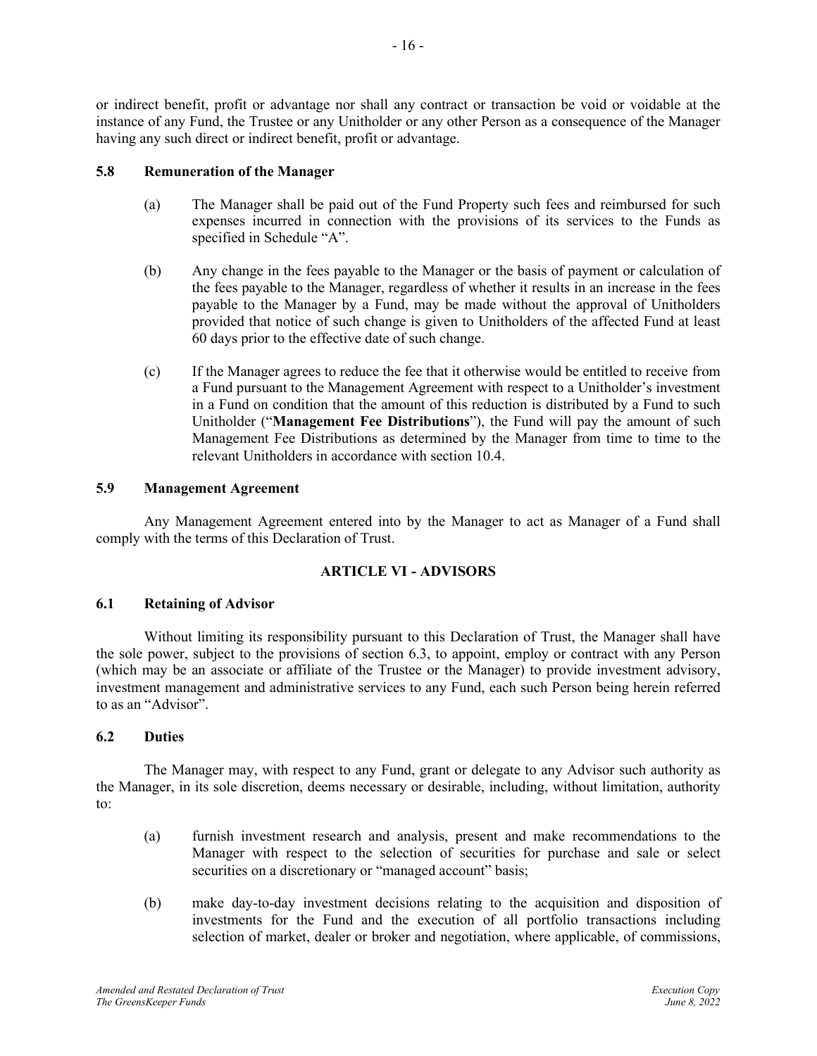or indirect benefit, profit or advantage nor shall any contract or transaction be void or voidable at the instance of any Fund, the Trustee or any Unitholder or any other Person as a consequence of the Manager having any such direct or indirect benefit, profit or advantage.

## <span id="page-18-0"></span>**5.8 Remuneration of the Manager**

- (a) The Manager shall be paid out of the Fund Property such fees and reimbursed for such expenses incurred in connection with the provisions of its services to the Funds as specified in Schedule "A".
- (b) Any change in the fees payable to the Manager or the basis of payment or calculation of the fees payable to the Manager, regardless of whether it results in an increase in the fees payable to the Manager by a Fund, may be made without the approval of Unitholders provided that notice of such change is given to Unitholders of the affected Fund at least 60 days prior to the effective date of such change.
- <span id="page-18-5"></span>(c) If the Manager agrees to reduce the fee that it otherwise would be entitled to receive from a Fund pursuant to the Management Agreement with respect to a Unitholder's investment in a Fund on condition that the amount of this reduction is distributed by a Fund to such Unitholder ("**Management Fee Distributions**"), the Fund will pay the amount of such Management Fee Distributions as determined by the Manager from time to time to the relevant Unitholders in accordance with sectio[n 10.4.](#page-25-2)

## <span id="page-18-1"></span>**5.9 Management Agreement**

Any Management Agreement entered into by the Manager to act as Manager of a Fund shall comply with the terms of this Declaration of Trust.

## **ARTICLE VI - ADVISORS**

## <span id="page-18-3"></span><span id="page-18-2"></span>**6.1 Retaining of Advisor**

Without limiting its responsibility pursuant to this Declaration of Trust, the Manager shall have the sole power, subject to the provisions of section 6.3, to appoint, employ or contract with any Person (which may be an associate or affiliate of the Trustee or the Manager) to provide investment advisory, investment management and administrative services to any Fund, each such Person being herein referred to as an "Advisor".

## <span id="page-18-4"></span>**6.2 Duties**

The Manager may, with respect to any Fund, grant or delegate to any Advisor such authority as the Manager, in its sole discretion, deems necessary or desirable, including, without limitation, authority to:

- (a) furnish investment research and analysis, present and make recommendations to the Manager with respect to the selection of securities for purchase and sale or select securities on a discretionary or "managed account" basis;
- (b) make day-to-day investment decisions relating to the acquisition and disposition of investments for the Fund and the execution of all portfolio transactions including selection of market, dealer or broker and negotiation, where applicable, of commissions,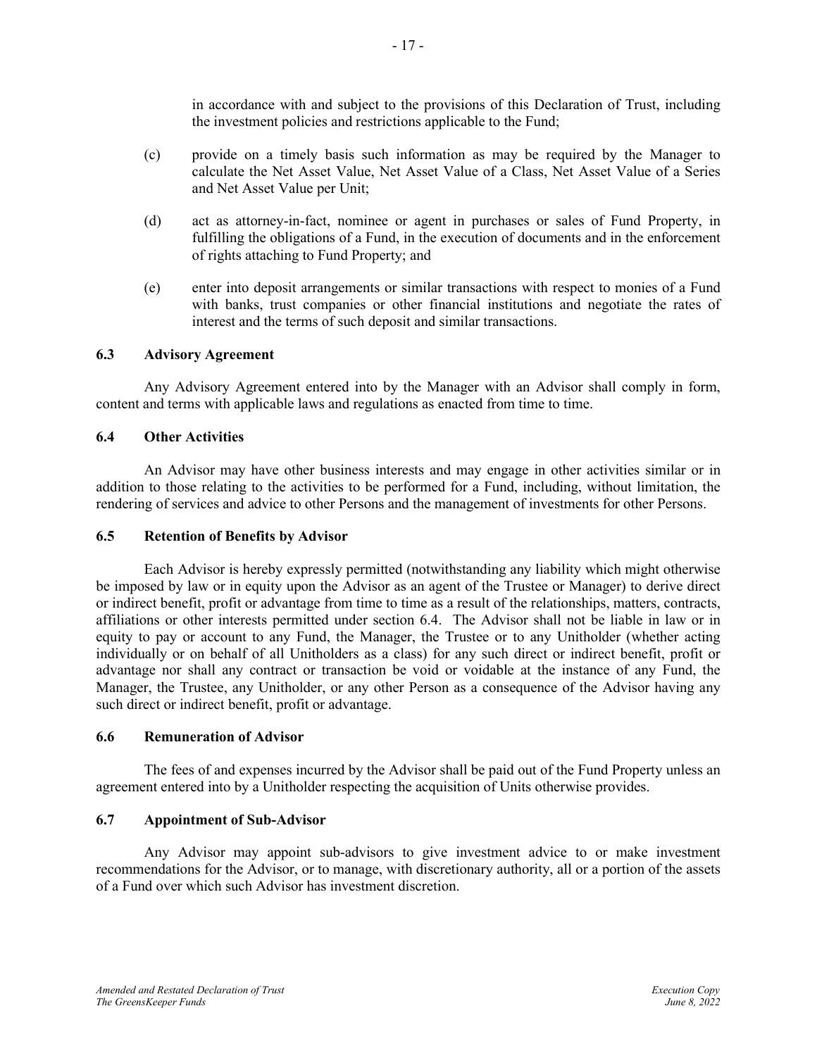in accordance with and subject to the provisions of this Declaration of Trust, including the investment policies and restrictions applicable to the Fund;

- (c) provide on a timely basis such information as may be required by the Manager to calculate the Net Asset Value, Net Asset Value of a Class, Net Asset Value of a Series and Net Asset Value per Unit;
- (d) act as attorney-in-fact, nominee or agent in purchases or sales of Fund Property, in fulfilling the obligations of a Fund, in the execution of documents and in the enforcement of rights attaching to Fund Property; and
- (e) enter into deposit arrangements or similar transactions with respect to monies of a Fund with banks, trust companies or other financial institutions and negotiate the rates of interest and the terms of such deposit and similar transactions.

#### <span id="page-19-0"></span>**6.3 Advisory Agreement**

Any Advisory Agreement entered into by the Manager with an Advisor shall comply in form, content and terms with applicable laws and regulations as enacted from time to time.

#### <span id="page-19-1"></span>**6.4 Other Activities**

An Advisor may have other business interests and may engage in other activities similar or in addition to those relating to the activities to be performed for a Fund, including, without limitation, the rendering of services and advice to other Persons and the management of investments for other Persons.

#### <span id="page-19-2"></span>**6.5 Retention of Benefits by Advisor**

Each Advisor is hereby expressly permitted (notwithstanding any liability which might otherwise be imposed by law or in equity upon the Advisor as an agent of the Trustee or Manager) to derive direct or indirect benefit, profit or advantage from time to time as a result of the relationships, matters, contracts, affiliations or other interests permitted under section 6.4. The Advisor shall not be liable in law or in equity to pay or account to any Fund, the Manager, the Trustee or to any Unitholder (whether acting individually or on behalf of all Unitholders as a class) for any such direct or indirect benefit, profit or advantage nor shall any contract or transaction be void or voidable at the instance of any Fund, the Manager, the Trustee, any Unitholder, or any other Person as a consequence of the Advisor having any such direct or indirect benefit, profit or advantage.

#### <span id="page-19-3"></span>**6.6 Remuneration of Advisor**

The fees of and expenses incurred by the Advisor shall be paid out of the Fund Property unless an agreement entered into by a Unitholder respecting the acquisition of Units otherwise provides.

#### <span id="page-19-4"></span>**6.7 Appointment of Sub-Advisor**

Any Advisor may appoint sub-advisors to give investment advice to or make investment recommendations for the Advisor, or to manage, with discretionary authority, all or a portion of the assets of a Fund over which such Advisor has investment discretion.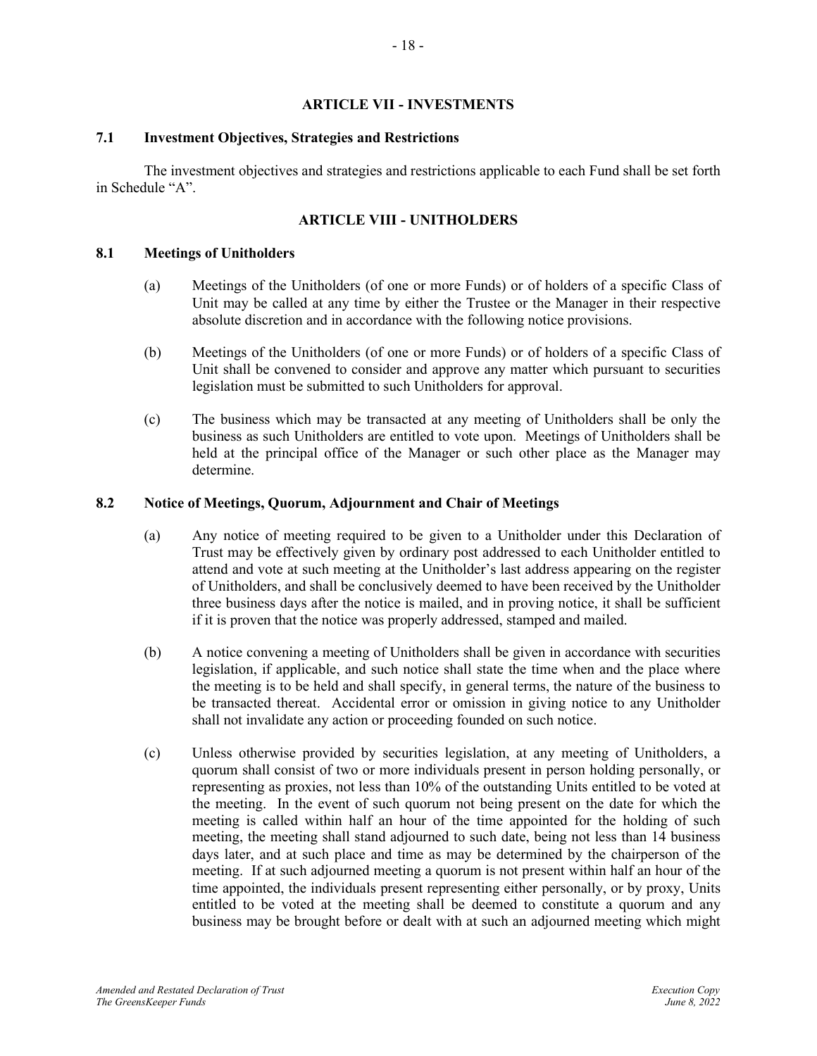#### **ARTICLE VII - INVESTMENTS**

#### <span id="page-20-1"></span><span id="page-20-0"></span>**7.1 Investment Objectives, Strategies and Restrictions**

The investment objectives and strategies and restrictions applicable to each Fund shall be set forth in Schedule "A".

## **ARTICLE VIII - UNITHOLDERS**

#### <span id="page-20-3"></span><span id="page-20-2"></span>**8.1 Meetings of Unitholders**

- (a) Meetings of the Unitholders (of one or more Funds) or of holders of a specific Class of Unit may be called at any time by either the Trustee or the Manager in their respective absolute discretion and in accordance with the following notice provisions.
- (b) Meetings of the Unitholders (of one or more Funds) or of holders of a specific Class of Unit shall be convened to consider and approve any matter which pursuant to securities legislation must be submitted to such Unitholders for approval.
- (c) The business which may be transacted at any meeting of Unitholders shall be only the business as such Unitholders are entitled to vote upon. Meetings of Unitholders shall be held at the principal office of the Manager or such other place as the Manager may determine.

#### <span id="page-20-4"></span>**8.2 Notice of Meetings, Quorum, Adjournment and Chair of Meetings**

- (a) Any notice of meeting required to be given to a Unitholder under this Declaration of Trust may be effectively given by ordinary post addressed to each Unitholder entitled to attend and vote at such meeting at the Unitholder's last address appearing on the register of Unitholders, and shall be conclusively deemed to have been received by the Unitholder three business days after the notice is mailed, and in proving notice, it shall be sufficient if it is proven that the notice was properly addressed, stamped and mailed.
- (b) A notice convening a meeting of Unitholders shall be given in accordance with securities legislation, if applicable, and such notice shall state the time when and the place where the meeting is to be held and shall specify, in general terms, the nature of the business to be transacted thereat. Accidental error or omission in giving notice to any Unitholder shall not invalidate any action or proceeding founded on such notice.
- (c) Unless otherwise provided by securities legislation, at any meeting of Unitholders, a quorum shall consist of two or more individuals present in person holding personally, or representing as proxies, not less than 10% of the outstanding Units entitled to be voted at the meeting. In the event of such quorum not being present on the date for which the meeting is called within half an hour of the time appointed for the holding of such meeting, the meeting shall stand adjourned to such date, being not less than 14 business days later, and at such place and time as may be determined by the chairperson of the meeting. If at such adjourned meeting a quorum is not present within half an hour of the time appointed, the individuals present representing either personally, or by proxy, Units entitled to be voted at the meeting shall be deemed to constitute a quorum and any business may be brought before or dealt with at such an adjourned meeting which might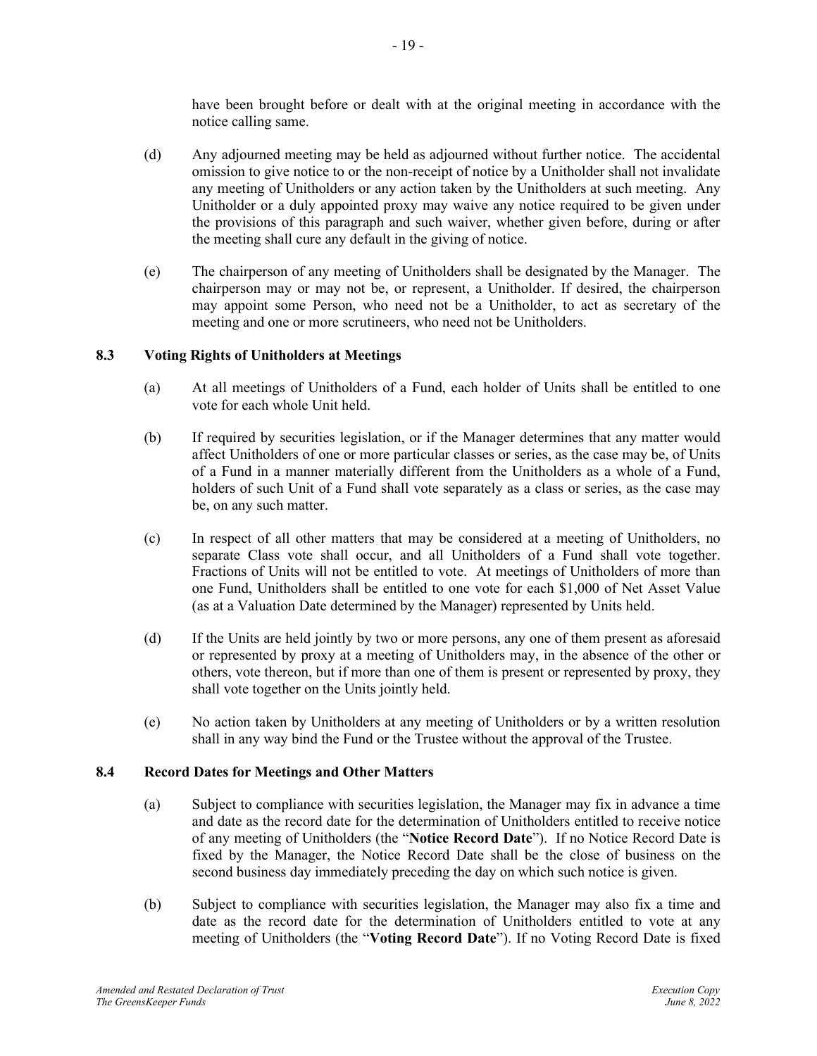have been brought before or dealt with at the original meeting in accordance with the notice calling same.

- (d) Any adjourned meeting may be held as adjourned without further notice. The accidental omission to give notice to or the non-receipt of notice by a Unitholder shall not invalidate any meeting of Unitholders or any action taken by the Unitholders at such meeting. Any Unitholder or a duly appointed proxy may waive any notice required to be given under the provisions of this paragraph and such waiver, whether given before, during or after the meeting shall cure any default in the giving of notice.
- (e) The chairperson of any meeting of Unitholders shall be designated by the Manager. The chairperson may or may not be, or represent, a Unitholder. If desired, the chairperson may appoint some Person, who need not be a Unitholder, to act as secretary of the meeting and one or more scrutineers, who need not be Unitholders.

## <span id="page-21-0"></span>**8.3 Voting Rights of Unitholders at Meetings**

- (a) At all meetings of Unitholders of a Fund, each holder of Units shall be entitled to one vote for each whole Unit held.
- (b) If required by securities legislation, or if the Manager determines that any matter would affect Unitholders of one or more particular classes or series, as the case may be, of Units of a Fund in a manner materially different from the Unitholders as a whole of a Fund, holders of such Unit of a Fund shall vote separately as a class or series, as the case may be, on any such matter.
- <span id="page-21-2"></span>(c) In respect of all other matters that may be considered at a meeting of Unitholders, no separate Class vote shall occur, and all Unitholders of a Fund shall vote together. Fractions of Units will not be entitled to vote. At meetings of Unitholders of more than one Fund, Unitholders shall be entitled to one vote for each \$1,000 of Net Asset Value (as at a Valuation Date determined by the Manager) represented by Units held.
- (d) If the Units are held jointly by two or more persons, any one of them present as aforesaid or represented by proxy at a meeting of Unitholders may, in the absence of the other or others, vote thereon, but if more than one of them is present or represented by proxy, they shall vote together on the Units jointly held.
- (e) No action taken by Unitholders at any meeting of Unitholders or by a written resolution shall in any way bind the Fund or the Trustee without the approval of the Trustee.

## <span id="page-21-1"></span>**8.4 Record Dates for Meetings and Other Matters**

- (a) Subject to compliance with securities legislation, the Manager may fix in advance a time and date as the record date for the determination of Unitholders entitled to receive notice of any meeting of Unitholders (the "**Notice Record Date**"). If no Notice Record Date is fixed by the Manager, the Notice Record Date shall be the close of business on the second business day immediately preceding the day on which such notice is given.
- (b) Subject to compliance with securities legislation, the Manager may also fix a time and date as the record date for the determination of Unitholders entitled to vote at any meeting of Unitholders (the "**Voting Record Date**"). If no Voting Record Date is fixed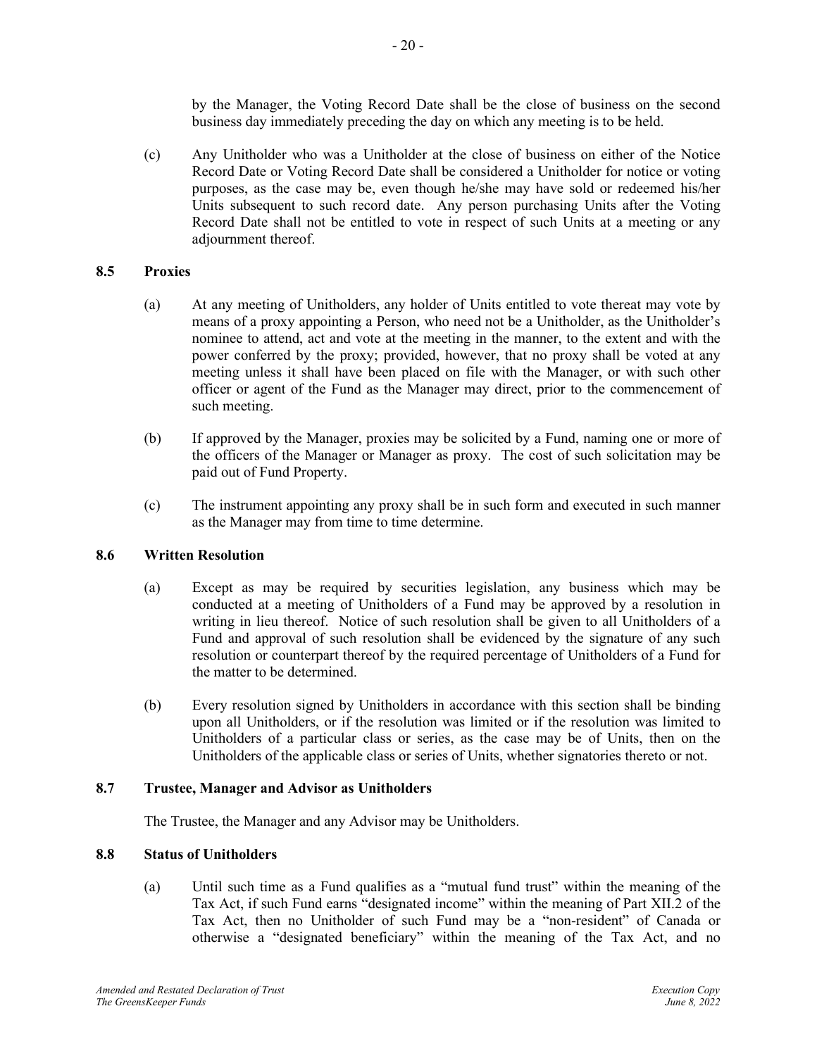by the Manager, the Voting Record Date shall be the close of business on the second business day immediately preceding the day on which any meeting is to be held.

(c) Any Unitholder who was a Unitholder at the close of business on either of the Notice Record Date or Voting Record Date shall be considered a Unitholder for notice or voting purposes, as the case may be, even though he/she may have sold or redeemed his/her Units subsequent to such record date. Any person purchasing Units after the Voting Record Date shall not be entitled to vote in respect of such Units at a meeting or any adjournment thereof.

## <span id="page-22-0"></span>**8.5 Proxies**

- (a) At any meeting of Unitholders, any holder of Units entitled to vote thereat may vote by means of a proxy appointing a Person, who need not be a Unitholder, as the Unitholder's nominee to attend, act and vote at the meeting in the manner, to the extent and with the power conferred by the proxy; provided, however, that no proxy shall be voted at any meeting unless it shall have been placed on file with the Manager, or with such other officer or agent of the Fund as the Manager may direct, prior to the commencement of such meeting.
- (b) If approved by the Manager, proxies may be solicited by a Fund, naming one or more of the officers of the Manager or Manager as proxy. The cost of such solicitation may be paid out of Fund Property.
- (c) The instrument appointing any proxy shall be in such form and executed in such manner as the Manager may from time to time determine.

## <span id="page-22-1"></span>**8.6 Written Resolution**

- (a) Except as may be required by securities legislation, any business which may be conducted at a meeting of Unitholders of a Fund may be approved by a resolution in writing in lieu thereof. Notice of such resolution shall be given to all Unitholders of a Fund and approval of such resolution shall be evidenced by the signature of any such resolution or counterpart thereof by the required percentage of Unitholders of a Fund for the matter to be determined.
- (b) Every resolution signed by Unitholders in accordance with this section shall be binding upon all Unitholders, or if the resolution was limited or if the resolution was limited to Unitholders of a particular class or series, as the case may be of Units, then on the Unitholders of the applicable class or series of Units, whether signatories thereto or not.

## <span id="page-22-2"></span>**8.7 Trustee, Manager and Advisor as Unitholders**

The Trustee, the Manager and any Advisor may be Unitholders.

## <span id="page-22-3"></span>**8.8 Status of Unitholders**

(a) Until such time as a Fund qualifies as a "mutual fund trust" within the meaning of the Tax Act, if such Fund earns "designated income" within the meaning of Part XII.2 of the Tax Act, then no Unitholder of such Fund may be a "non-resident" of Canada or otherwise a "designated beneficiary" within the meaning of the Tax Act, and no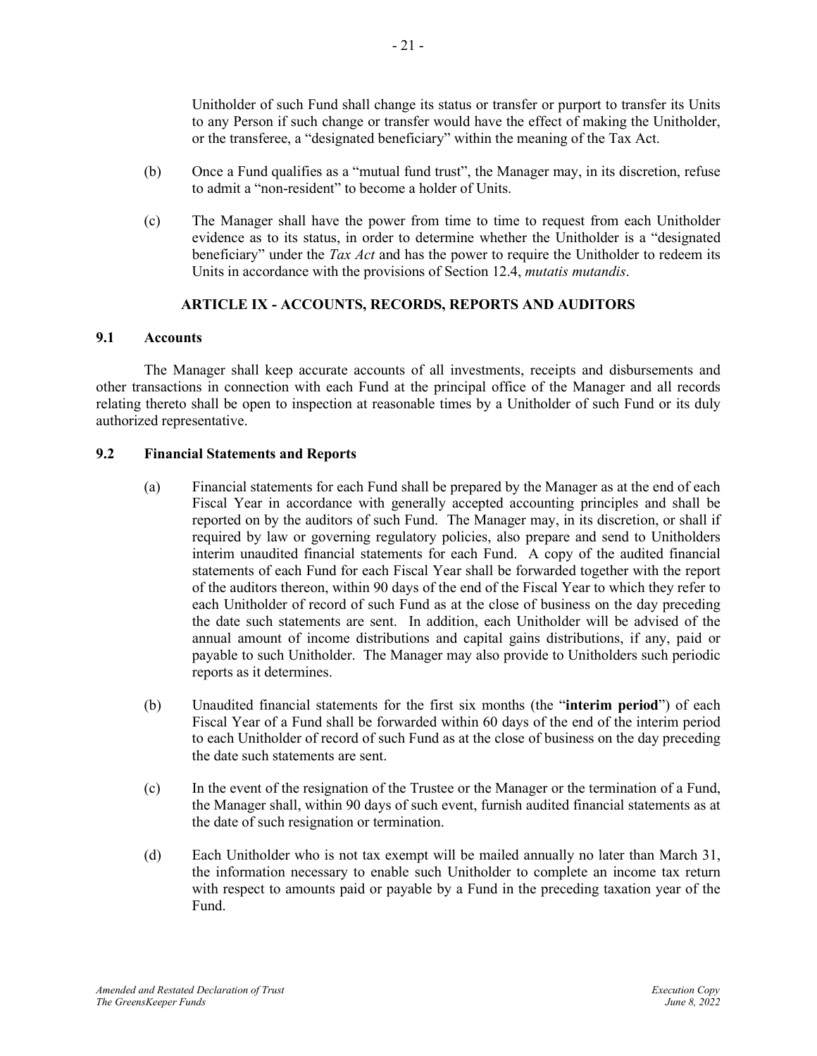Unitholder of such Fund shall change its status or transfer or purport to transfer its Units to any Person if such change or transfer would have the effect of making the Unitholder, or the transferee, a "designated beneficiary" within the meaning of the Tax Act.

- (b) Once a Fund qualifies as a "mutual fund trust", the Manager may, in its discretion, refuse to admit a "non-resident" to become a holder of Units.
- (c) The Manager shall have the power from time to time to request from each Unitholder evidence as to its status, in order to determine whether the Unitholder is a "designated beneficiary" under the *Tax Act* and has the power to require the Unitholder to redeem its Units in accordance with the provisions of Section 12.4, *mutatis mutandis*.

## **ARTICLE IX - ACCOUNTS, RECORDS, REPORTS AND AUDITORS**

#### <span id="page-23-1"></span><span id="page-23-0"></span>**9.1 Accounts**

The Manager shall keep accurate accounts of all investments, receipts and disbursements and other transactions in connection with each Fund at the principal office of the Manager and all records relating thereto shall be open to inspection at reasonable times by a Unitholder of such Fund or its duly authorized representative.

## <span id="page-23-2"></span>**9.2 Financial Statements and Reports**

- (a) Financial statements for each Fund shall be prepared by the Manager as at the end of each Fiscal Year in accordance with generally accepted accounting principles and shall be reported on by the auditors of such Fund. The Manager may, in its discretion, or shall if required by law or governing regulatory policies, also prepare and send to Unitholders interim unaudited financial statements for each Fund. A copy of the audited financial statements of each Fund for each Fiscal Year shall be forwarded together with the report of the auditors thereon, within 90 days of the end of the Fiscal Year to which they refer to each Unitholder of record of such Fund as at the close of business on the day preceding the date such statements are sent. In addition, each Unitholder will be advised of the annual amount of income distributions and capital gains distributions, if any, paid or payable to such Unitholder. The Manager may also provide to Unitholders such periodic reports as it determines.
- (b) Unaudited financial statements for the first six months (the "**interim period**") of each Fiscal Year of a Fund shall be forwarded within 60 days of the end of the interim period to each Unitholder of record of such Fund as at the close of business on the day preceding the date such statements are sent.
- (c) In the event of the resignation of the Trustee or the Manager or the termination of a Fund, the Manager shall, within 90 days of such event, furnish audited financial statements as at the date of such resignation or termination.
- (d) Each Unitholder who is not tax exempt will be mailed annually no later than March 31, the information necessary to enable such Unitholder to complete an income tax return with respect to amounts paid or payable by a Fund in the preceding taxation year of the Fund.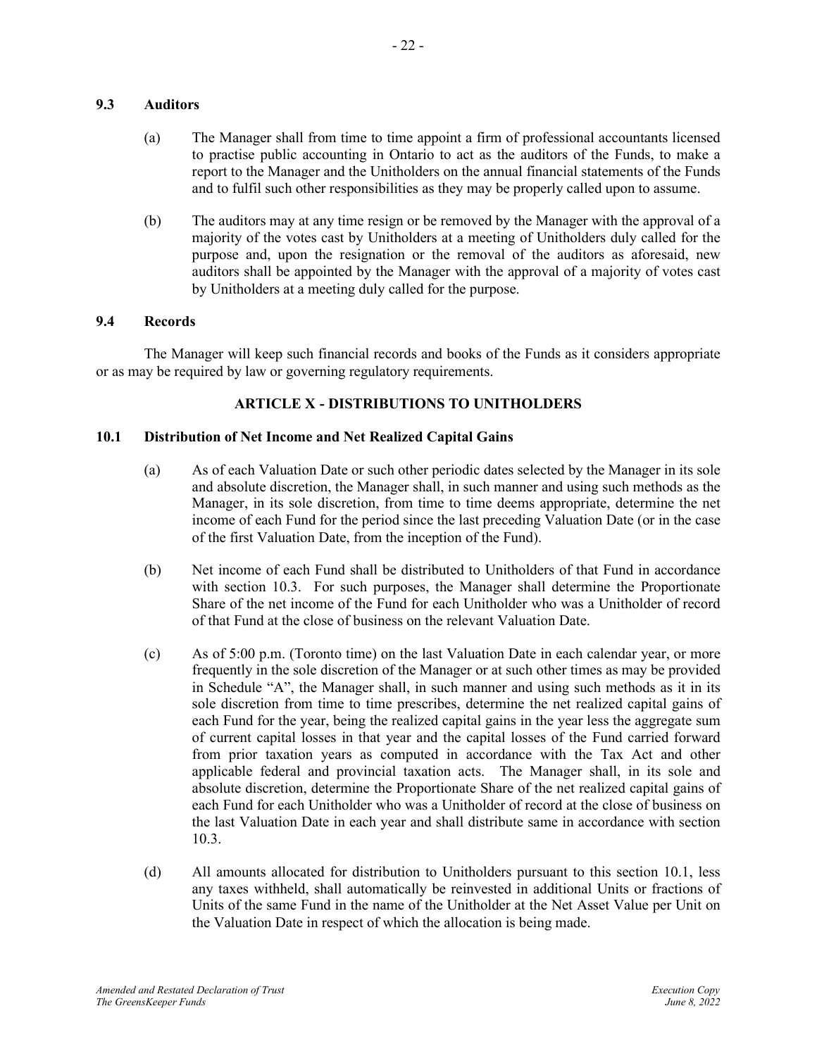## <span id="page-24-0"></span>**9.3 Auditors**

- (a) The Manager shall from time to time appoint a firm of professional accountants licensed to practise public accounting in Ontario to act as the auditors of the Funds, to make a report to the Manager and the Unitholders on the annual financial statements of the Funds and to fulfil such other responsibilities as they may be properly called upon to assume.
- (b) The auditors may at any time resign or be removed by the Manager with the approval of a majority of the votes cast by Unitholders at a meeting of Unitholders duly called for the purpose and, upon the resignation or the removal of the auditors as aforesaid, new auditors shall be appointed by the Manager with the approval of a majority of votes cast by Unitholders at a meeting duly called for the purpose.

#### <span id="page-24-1"></span>**9.4 Records**

The Manager will keep such financial records and books of the Funds as it considers appropriate or as may be required by law or governing regulatory requirements.

## **ARTICLE X - DISTRIBUTIONS TO UNITHOLDERS**

#### <span id="page-24-3"></span><span id="page-24-2"></span>**10.1 Distribution of Net Income and Net Realized Capital Gains**

- (a) As of each Valuation Date or such other periodic dates selected by the Manager in its sole and absolute discretion, the Manager shall, in such manner and using such methods as the Manager, in its sole discretion, from time to time deems appropriate, determine the net income of each Fund for the period since the last preceding Valuation Date (or in the case of the first Valuation Date, from the inception of the Fund).
- (b) Net income of each Fund shall be distributed to Unitholders of that Fund in accordance with section [10.3.](#page-25-1) For such purposes, the Manager shall determine the Proportionate Share of the net income of the Fund for each Unitholder who was a Unitholder of record of that Fund at the close of business on the relevant Valuation Date.
- (c) As of 5:00 p.m. (Toronto time) on the last Valuation Date in each calendar year, or more frequently in the sole discretion of the Manager or at such other times as may be provided in Schedule "A", the Manager shall, in such manner and using such methods as it in its sole discretion from time to time prescribes, determine the net realized capital gains of each Fund for the year, being the realized capital gains in the year less the aggregate sum of current capital losses in that year and the capital losses of the Fund carried forward from prior taxation years as computed in accordance with the Tax Act and other applicable federal and provincial taxation acts. The Manager shall, in its sole and absolute discretion, determine the Proportionate Share of the net realized capital gains of each Fund for each Unitholder who was a Unitholder of record at the close of business on the last Valuation Date in each year and shall distribute same in accordance with section [10.3.](#page-25-1)
- <span id="page-24-4"></span>(d) All amounts allocated for distribution to Unitholders pursuant to this section [10.1,](#page-24-3) less any taxes withheld, shall automatically be reinvested in additional Units or fractions of Units of the same Fund in the name of the Unitholder at the Net Asset Value per Unit on the Valuation Date in respect of which the allocation is being made.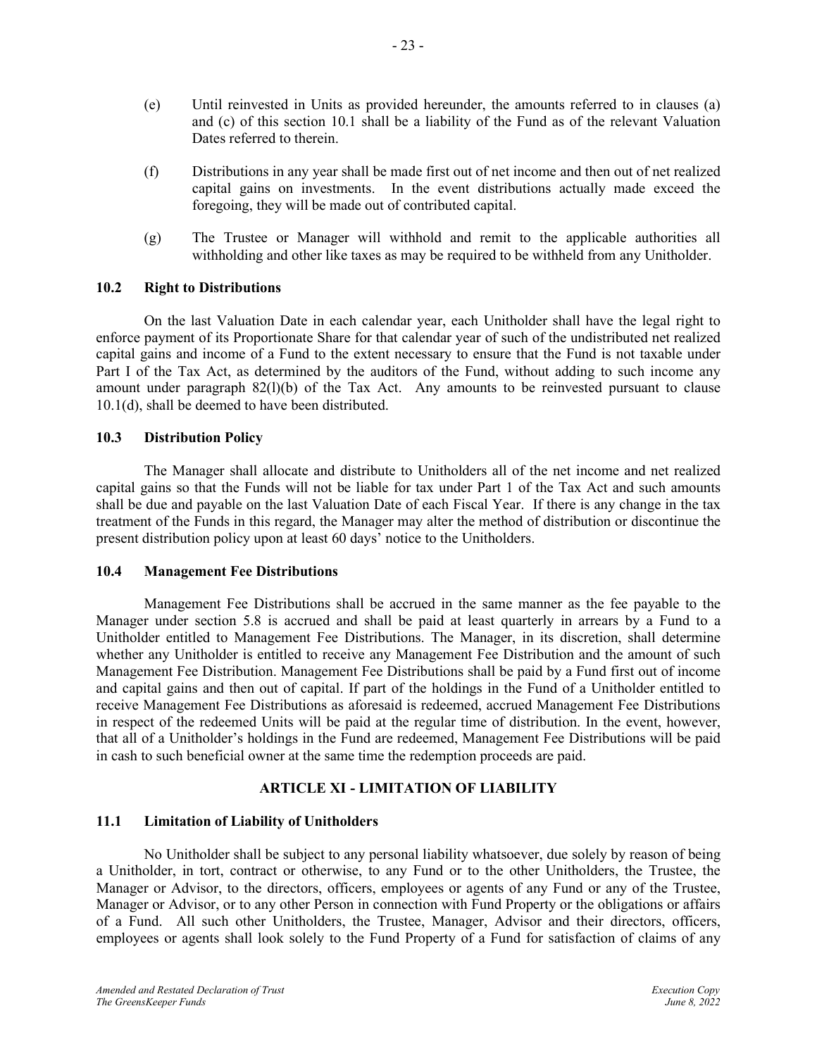- (e) Until reinvested in Units as provided hereunder, the amounts referred to in clauses (a) and (c) of this section [10.1](#page-24-3) shall be a liability of the Fund as of the relevant Valuation Dates referred to therein.
- (f) Distributions in any year shall be made first out of net income and then out of net realized capital gains on investments. In the event distributions actually made exceed the foregoing, they will be made out of contributed capital.
- (g) The Trustee or Manager will withhold and remit to the applicable authorities all withholding and other like taxes as may be required to be withheld from any Unitholder.

## <span id="page-25-0"></span>**10.2 Right to Distributions**

On the last Valuation Date in each calendar year, each Unitholder shall have the legal right to enforce payment of its Proportionate Share for that calendar year of such of the undistributed net realized capital gains and income of a Fund to the extent necessary to ensure that the Fund is not taxable under Part I of the Tax Act, as determined by the auditors of the Fund, without adding to such income any amount under paragraph 82(l)(b) of the Tax Act. Any amounts to be reinvested pursuant to clause [10.1\(d\),](#page-24-4) shall be deemed to have been distributed.

#### <span id="page-25-1"></span>**10.3 Distribution Policy**

The Manager shall allocate and distribute to Unitholders all of the net income and net realized capital gains so that the Funds will not be liable for tax under Part 1 of the Tax Act and such amounts shall be due and payable on the last Valuation Date of each Fiscal Year. If there is any change in the tax treatment of the Funds in this regard, the Manager may alter the method of distribution or discontinue the present distribution policy upon at least 60 days' notice to the Unitholders.

#### <span id="page-25-2"></span>**10.4 Management Fee Distributions**

Management Fee Distributions shall be accrued in the same manner as the fee payable to the Manager under section [5.8](#page-18-0) is accrued and shall be paid at least quarterly in arrears by a Fund to a Unitholder entitled to Management Fee Distributions. The Manager, in its discretion, shall determine whether any Unitholder is entitled to receive any Management Fee Distribution and the amount of such Management Fee Distribution. Management Fee Distributions shall be paid by a Fund first out of income and capital gains and then out of capital. If part of the holdings in the Fund of a Unitholder entitled to receive Management Fee Distributions as aforesaid is redeemed, accrued Management Fee Distributions in respect of the redeemed Units will be paid at the regular time of distribution. In the event, however, that all of a Unitholder's holdings in the Fund are redeemed, Management Fee Distributions will be paid in cash to such beneficial owner at the same time the redemption proceeds are paid.

## **ARTICLE XI - LIMITATION OF LIABILITY**

## <span id="page-25-4"></span><span id="page-25-3"></span>**11.1 Limitation of Liability of Unitholders**

No Unitholder shall be subject to any personal liability whatsoever, due solely by reason of being a Unitholder, in tort, contract or otherwise, to any Fund or to the other Unitholders, the Trustee, the Manager or Advisor, to the directors, officers, employees or agents of any Fund or any of the Trustee, Manager or Advisor, or to any other Person in connection with Fund Property or the obligations or affairs of a Fund. All such other Unitholders, the Trustee, Manager, Advisor and their directors, officers, employees or agents shall look solely to the Fund Property of a Fund for satisfaction of claims of any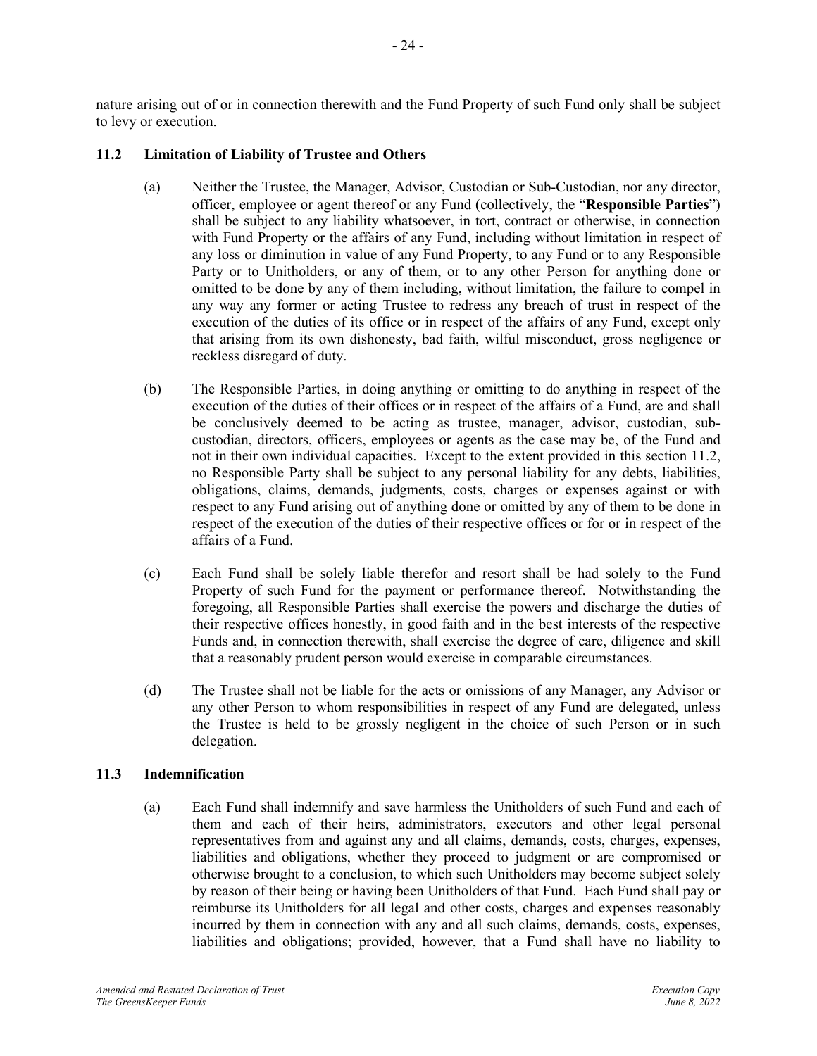nature arising out of or in connection therewith and the Fund Property of such Fund only shall be subject to levy or execution.

## <span id="page-26-0"></span>**11.2 Limitation of Liability of Trustee and Others**

- (a) Neither the Trustee, the Manager, Advisor, Custodian or Sub-Custodian, nor any director, officer, employee or agent thereof or any Fund (collectively, the "**Responsible Parties**") shall be subject to any liability whatsoever, in tort, contract or otherwise, in connection with Fund Property or the affairs of any Fund, including without limitation in respect of any loss or diminution in value of any Fund Property, to any Fund or to any Responsible Party or to Unitholders, or any of them, or to any other Person for anything done or omitted to be done by any of them including, without limitation, the failure to compel in any way any former or acting Trustee to redress any breach of trust in respect of the execution of the duties of its office or in respect of the affairs of any Fund, except only that arising from its own dishonesty, bad faith, wilful misconduct, gross negligence or reckless disregard of duty.
- (b) The Responsible Parties, in doing anything or omitting to do anything in respect of the execution of the duties of their offices or in respect of the affairs of a Fund, are and shall be conclusively deemed to be acting as trustee, manager, advisor, custodian, subcustodian, directors, officers, employees or agents as the case may be, of the Fund and not in their own individual capacities. Except to the extent provided in this section 11.2, no Responsible Party shall be subject to any personal liability for any debts, liabilities, obligations, claims, demands, judgments, costs, charges or expenses against or with respect to any Fund arising out of anything done or omitted by any of them to be done in respect of the execution of the duties of their respective offices or for or in respect of the affairs of a Fund.
- (c) Each Fund shall be solely liable therefor and resort shall be had solely to the Fund Property of such Fund for the payment or performance thereof. Notwithstanding the foregoing, all Responsible Parties shall exercise the powers and discharge the duties of their respective offices honestly, in good faith and in the best interests of the respective Funds and, in connection therewith, shall exercise the degree of care, diligence and skill that a reasonably prudent person would exercise in comparable circumstances.
- (d) The Trustee shall not be liable for the acts or omissions of any Manager, any Advisor or any other Person to whom responsibilities in respect of any Fund are delegated, unless the Trustee is held to be grossly negligent in the choice of such Person or in such delegation.

## <span id="page-26-1"></span>**11.3 Indemnification**

(a) Each Fund shall indemnify and save harmless the Unitholders of such Fund and each of them and each of their heirs, administrators, executors and other legal personal representatives from and against any and all claims, demands, costs, charges, expenses, liabilities and obligations, whether they proceed to judgment or are compromised or otherwise brought to a conclusion, to which such Unitholders may become subject solely by reason of their being or having been Unitholders of that Fund. Each Fund shall pay or reimburse its Unitholders for all legal and other costs, charges and expenses reasonably incurred by them in connection with any and all such claims, demands, costs, expenses, liabilities and obligations; provided, however, that a Fund shall have no liability to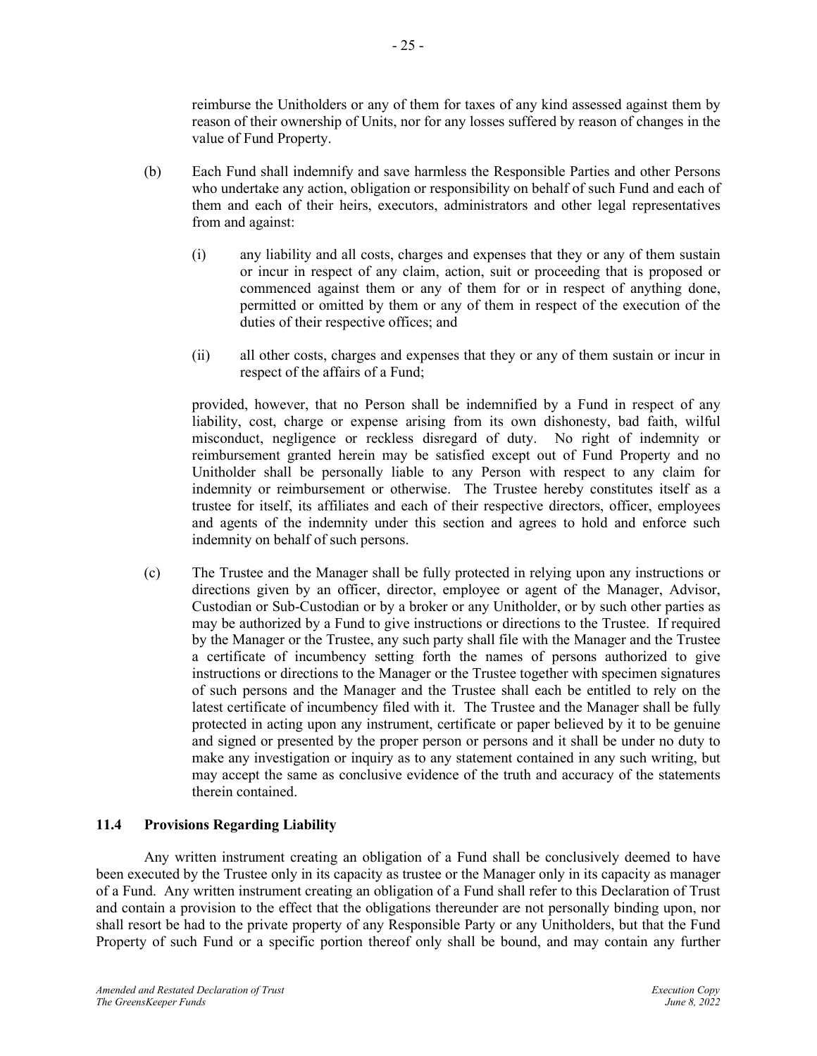reimburse the Unitholders or any of them for taxes of any kind assessed against them by reason of their ownership of Units, nor for any losses suffered by reason of changes in the value of Fund Property.

- (b) Each Fund shall indemnify and save harmless the Responsible Parties and other Persons who undertake any action, obligation or responsibility on behalf of such Fund and each of them and each of their heirs, executors, administrators and other legal representatives from and against:
	- (i) any liability and all costs, charges and expenses that they or any of them sustain or incur in respect of any claim, action, suit or proceeding that is proposed or commenced against them or any of them for or in respect of anything done, permitted or omitted by them or any of them in respect of the execution of the duties of their respective offices; and
	- (ii) all other costs, charges and expenses that they or any of them sustain or incur in respect of the affairs of a Fund;

provided, however, that no Person shall be indemnified by a Fund in respect of any liability, cost, charge or expense arising from its own dishonesty, bad faith, wilful misconduct, negligence or reckless disregard of duty. No right of indemnity or reimbursement granted herein may be satisfied except out of Fund Property and no Unitholder shall be personally liable to any Person with respect to any claim for indemnity or reimbursement or otherwise. The Trustee hereby constitutes itself as a trustee for itself, its affiliates and each of their respective directors, officer, employees and agents of the indemnity under this section and agrees to hold and enforce such indemnity on behalf of such persons.

(c) The Trustee and the Manager shall be fully protected in relying upon any instructions or directions given by an officer, director, employee or agent of the Manager, Advisor, Custodian or Sub-Custodian or by a broker or any Unitholder, or by such other parties as may be authorized by a Fund to give instructions or directions to the Trustee. If required by the Manager or the Trustee, any such party shall file with the Manager and the Trustee a certificate of incumbency setting forth the names of persons authorized to give instructions or directions to the Manager or the Trustee together with specimen signatures of such persons and the Manager and the Trustee shall each be entitled to rely on the latest certificate of incumbency filed with it. The Trustee and the Manager shall be fully protected in acting upon any instrument, certificate or paper believed by it to be genuine and signed or presented by the proper person or persons and it shall be under no duty to make any investigation or inquiry as to any statement contained in any such writing, but may accept the same as conclusive evidence of the truth and accuracy of the statements therein contained.

## <span id="page-27-0"></span>**11.4 Provisions Regarding Liability**

Any written instrument creating an obligation of a Fund shall be conclusively deemed to have been executed by the Trustee only in its capacity as trustee or the Manager only in its capacity as manager of a Fund. Any written instrument creating an obligation of a Fund shall refer to this Declaration of Trust and contain a provision to the effect that the obligations thereunder are not personally binding upon, nor shall resort be had to the private property of any Responsible Party or any Unitholders, but that the Fund Property of such Fund or a specific portion thereof only shall be bound, and may contain any further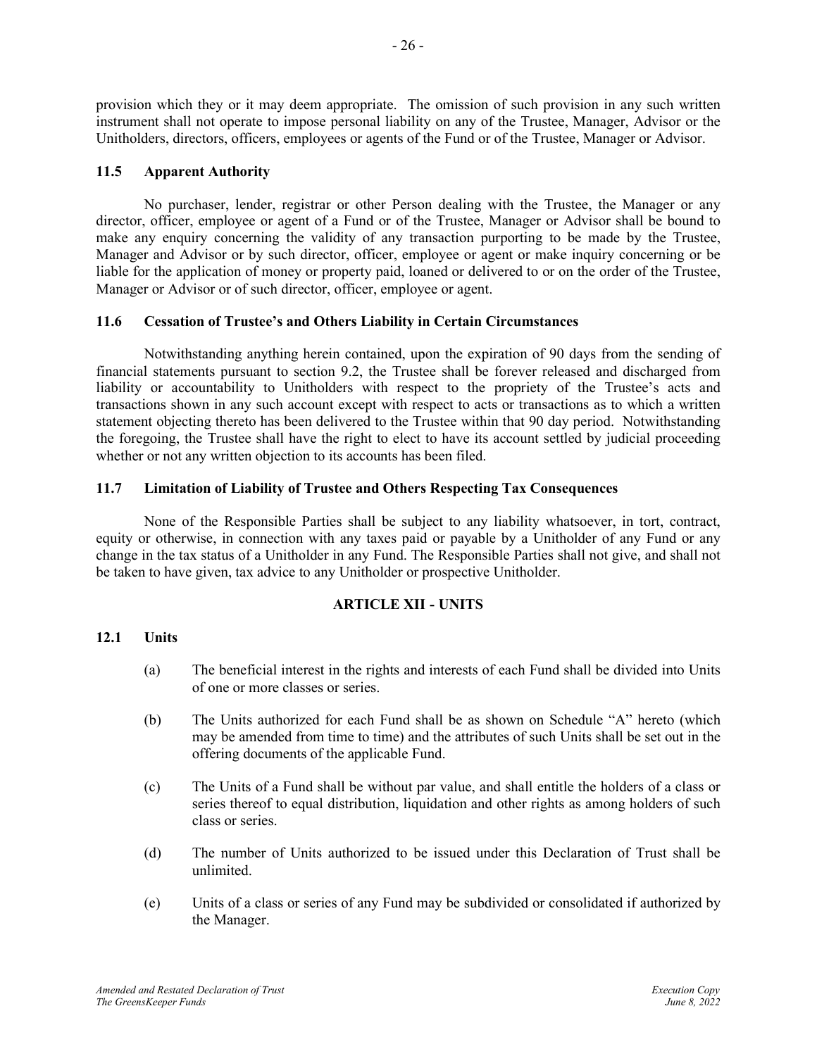provision which they or it may deem appropriate. The omission of such provision in any such written instrument shall not operate to impose personal liability on any of the Trustee, Manager, Advisor or the Unitholders, directors, officers, employees or agents of the Fund or of the Trustee, Manager or Advisor.

## <span id="page-28-0"></span>**11.5 Apparent Authority**

No purchaser, lender, registrar or other Person dealing with the Trustee, the Manager or any director, officer, employee or agent of a Fund or of the Trustee, Manager or Advisor shall be bound to make any enquiry concerning the validity of any transaction purporting to be made by the Trustee, Manager and Advisor or by such director, officer, employee or agent or make inquiry concerning or be liable for the application of money or property paid, loaned or delivered to or on the order of the Trustee, Manager or Advisor or of such director, officer, employee or agent.

## <span id="page-28-1"></span>**11.6 Cessation of Trustee's and Others Liability in Certain Circumstances**

Notwithstanding anything herein contained, upon the expiration of 90 days from the sending of financial statements pursuant to section 9.2, the Trustee shall be forever released and discharged from liability or accountability to Unitholders with respect to the propriety of the Trustee's acts and transactions shown in any such account except with respect to acts or transactions as to which a written statement objecting thereto has been delivered to the Trustee within that 90 day period. Notwithstanding the foregoing, the Trustee shall have the right to elect to have its account settled by judicial proceeding whether or not any written objection to its accounts has been filed.

## <span id="page-28-2"></span>**11.7 Limitation of Liability of Trustee and Others Respecting Tax Consequences**

None of the Responsible Parties shall be subject to any liability whatsoever, in tort, contract, equity or otherwise, in connection with any taxes paid or payable by a Unitholder of any Fund or any change in the tax status of a Unitholder in any Fund. The Responsible Parties shall not give, and shall not be taken to have given, tax advice to any Unitholder or prospective Unitholder.

## **ARTICLE XII - UNITS**

## <span id="page-28-4"></span><span id="page-28-3"></span>**12.1 Units**

- (a) The beneficial interest in the rights and interests of each Fund shall be divided into Units of one or more classes or series.
- (b) The Units authorized for each Fund shall be as shown on Schedule "A" hereto (which may be amended from time to time) and the attributes of such Units shall be set out in the offering documents of the applicable Fund.
- (c) The Units of a Fund shall be without par value, and shall entitle the holders of a class or series thereof to equal distribution, liquidation and other rights as among holders of such class or series.
- (d) The number of Units authorized to be issued under this Declaration of Trust shall be unlimited.
- (e) Units of a class or series of any Fund may be subdivided or consolidated if authorized by the Manager.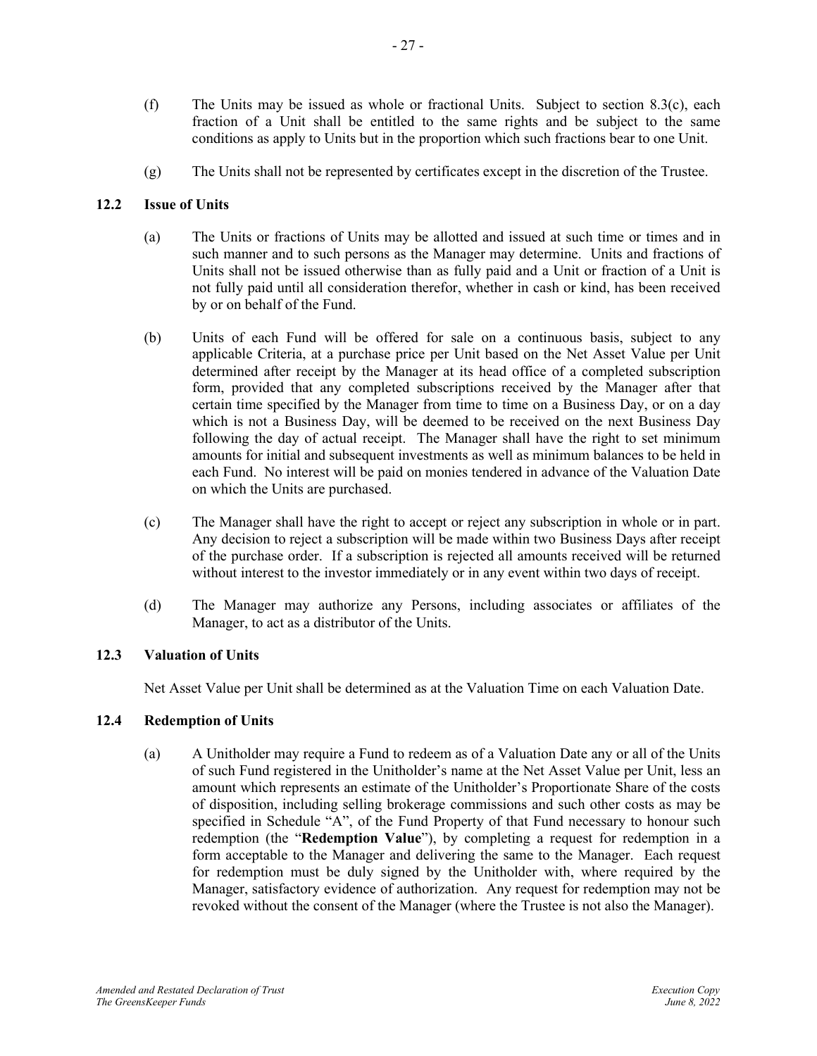- (f) The Units may be issued as whole or fractional Units. Subject to section [8.3\(c\),](#page-21-2) each fraction of a Unit shall be entitled to the same rights and be subject to the same conditions as apply to Units but in the proportion which such fractions bear to one Unit.
- (g) The Units shall not be represented by certificates except in the discretion of the Trustee.

## <span id="page-29-0"></span>**12.2 Issue of Units**

- (a) The Units or fractions of Units may be allotted and issued at such time or times and in such manner and to such persons as the Manager may determine. Units and fractions of Units shall not be issued otherwise than as fully paid and a Unit or fraction of a Unit is not fully paid until all consideration therefor, whether in cash or kind, has been received by or on behalf of the Fund.
- (b) Units of each Fund will be offered for sale on a continuous basis, subject to any applicable Criteria, at a purchase price per Unit based on the Net Asset Value per Unit determined after receipt by the Manager at its head office of a completed subscription form, provided that any completed subscriptions received by the Manager after that certain time specified by the Manager from time to time on a Business Day, or on a day which is not a Business Day, will be deemed to be received on the next Business Day following the day of actual receipt. The Manager shall have the right to set minimum amounts for initial and subsequent investments as well as minimum balances to be held in each Fund. No interest will be paid on monies tendered in advance of the Valuation Date on which the Units are purchased.
- (c) The Manager shall have the right to accept or reject any subscription in whole or in part. Any decision to reject a subscription will be made within two Business Days after receipt of the purchase order. If a subscription is rejected all amounts received will be returned without interest to the investor immediately or in any event within two days of receipt.
- (d) The Manager may authorize any Persons, including associates or affiliates of the Manager, to act as a distributor of the Units.

## <span id="page-29-1"></span>**12.3 Valuation of Units**

Net Asset Value per Unit shall be determined as at the Valuation Time on each Valuation Date.

## <span id="page-29-2"></span>**12.4 Redemption of Units**

(a) A Unitholder may require a Fund to redeem as of a Valuation Date any or all of the Units of such Fund registered in the Unitholder's name at the Net Asset Value per Unit, less an amount which represents an estimate of the Unitholder's Proportionate Share of the costs of disposition, including selling brokerage commissions and such other costs as may be specified in Schedule "A", of the Fund Property of that Fund necessary to honour such redemption (the "**Redemption Value**"), by completing a request for redemption in a form acceptable to the Manager and delivering the same to the Manager. Each request for redemption must be duly signed by the Unitholder with, where required by the Manager, satisfactory evidence of authorization. Any request for redemption may not be revoked without the consent of the Manager (where the Trustee is not also the Manager).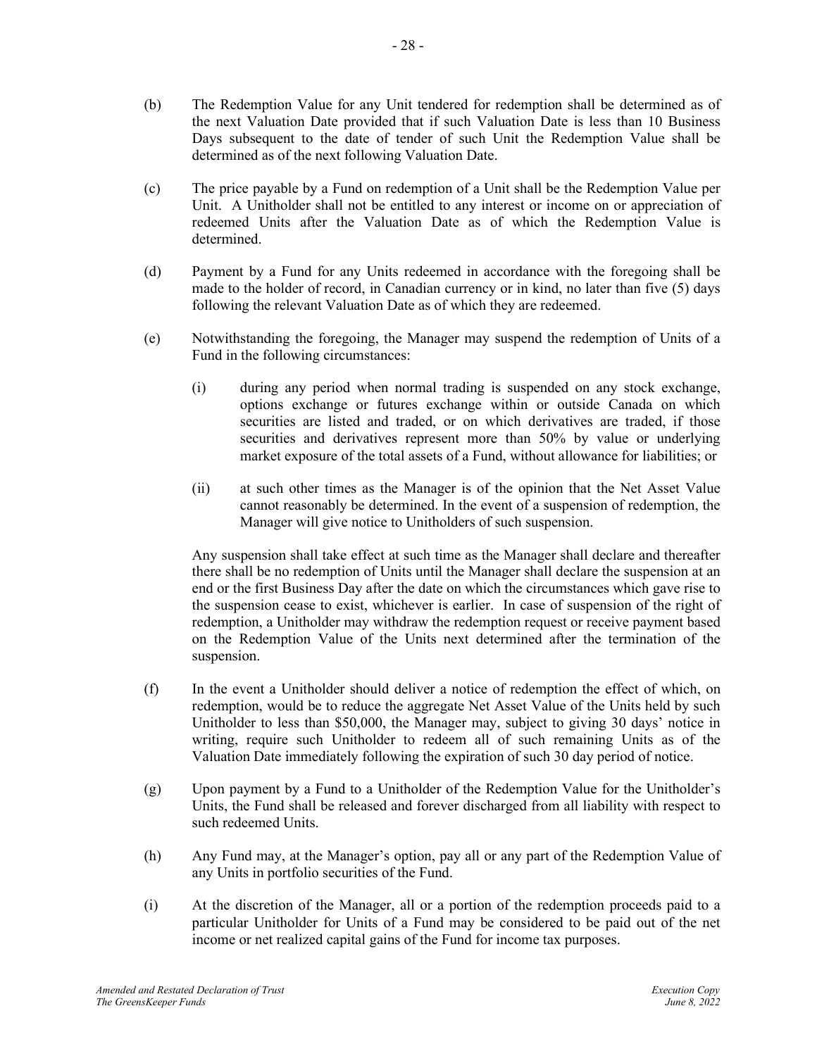- (b) The Redemption Value for any Unit tendered for redemption shall be determined as of the next Valuation Date provided that if such Valuation Date is less than 10 Business Days subsequent to the date of tender of such Unit the Redemption Value shall be determined as of the next following Valuation Date.
- (c) The price payable by a Fund on redemption of a Unit shall be the Redemption Value per Unit. A Unitholder shall not be entitled to any interest or income on or appreciation of redeemed Units after the Valuation Date as of which the Redemption Value is determined.
- (d) Payment by a Fund for any Units redeemed in accordance with the foregoing shall be made to the holder of record, in Canadian currency or in kind, no later than five (5) days following the relevant Valuation Date as of which they are redeemed.
- (e) Notwithstanding the foregoing, the Manager may suspend the redemption of Units of a Fund in the following circumstances:
	- (i) during any period when normal trading is suspended on any stock exchange, options exchange or futures exchange within or outside Canada on which securities are listed and traded, or on which derivatives are traded, if those securities and derivatives represent more than 50% by value or underlying market exposure of the total assets of a Fund, without allowance for liabilities; or
	- (ii) at such other times as the Manager is of the opinion that the Net Asset Value cannot reasonably be determined. In the event of a suspension of redemption, the Manager will give notice to Unitholders of such suspension.

Any suspension shall take effect at such time as the Manager shall declare and thereafter there shall be no redemption of Units until the Manager shall declare the suspension at an end or the first Business Day after the date on which the circumstances which gave rise to the suspension cease to exist, whichever is earlier. In case of suspension of the right of redemption, a Unitholder may withdraw the redemption request or receive payment based on the Redemption Value of the Units next determined after the termination of the suspension.

- (f) In the event a Unitholder should deliver a notice of redemption the effect of which, on redemption, would be to reduce the aggregate Net Asset Value of the Units held by such Unitholder to less than \$50,000, the Manager may, subject to giving 30 days' notice in writing, require such Unitholder to redeem all of such remaining Units as of the Valuation Date immediately following the expiration of such 30 day period of notice.
- (g) Upon payment by a Fund to a Unitholder of the Redemption Value for the Unitholder's Units, the Fund shall be released and forever discharged from all liability with respect to such redeemed Units.
- (h) Any Fund may, at the Manager's option, pay all or any part of the Redemption Value of any Units in portfolio securities of the Fund.
- (i) At the discretion of the Manager, all or a portion of the redemption proceeds paid to a particular Unitholder for Units of a Fund may be considered to be paid out of the net income or net realized capital gains of the Fund for income tax purposes.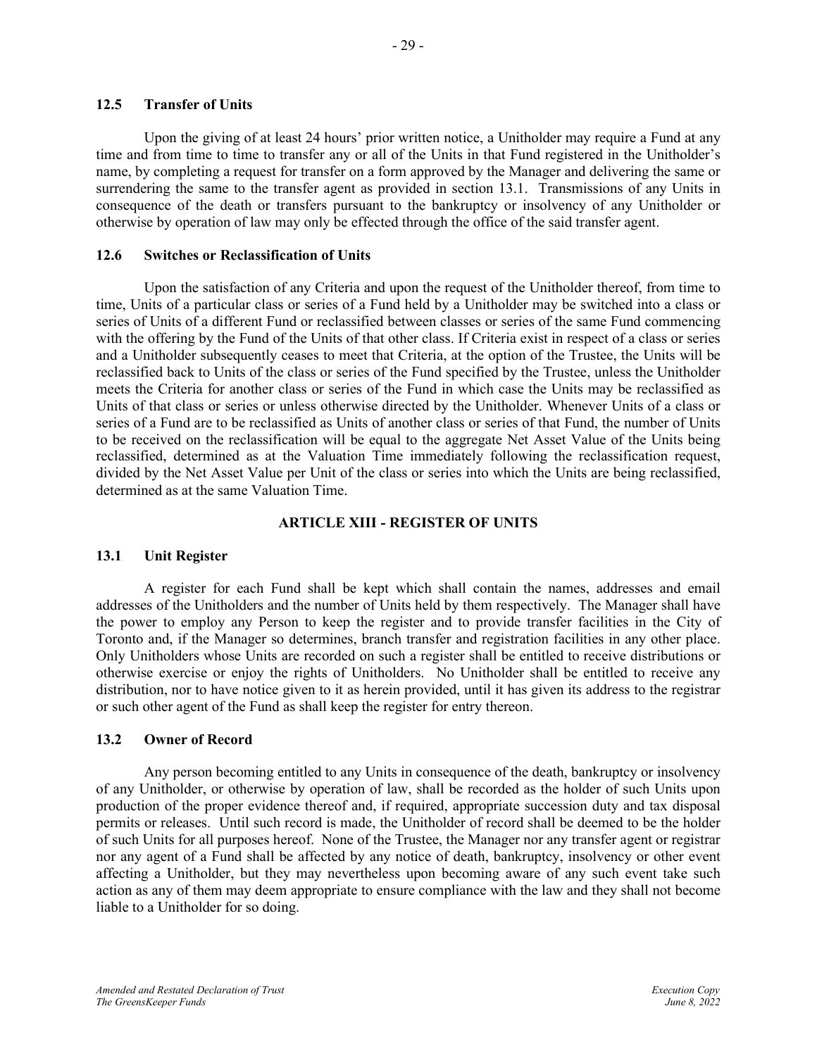## <span id="page-31-0"></span>**12.5 Transfer of Units**

Upon the giving of at least 24 hours' prior written notice, a Unitholder may require a Fund at any time and from time to time to transfer any or all of the Units in that Fund registered in the Unitholder's name, by completing a request for transfer on a form approved by the Manager and delivering the same or surrendering the same to the transfer agent as provided in section [13.1.](#page-31-3) Transmissions of any Units in consequence of the death or transfers pursuant to the bankruptcy or insolvency of any Unitholder or otherwise by operation of law may only be effected through the office of the said transfer agent.

## <span id="page-31-1"></span>**12.6 Switches or Reclassification of Units**

Upon the satisfaction of any Criteria and upon the request of the Unitholder thereof, from time to time, Units of a particular class or series of a Fund held by a Unitholder may be switched into a class or series of Units of a different Fund or reclassified between classes or series of the same Fund commencing with the offering by the Fund of the Units of that other class. If Criteria exist in respect of a class or series and a Unitholder subsequently ceases to meet that Criteria, at the option of the Trustee, the Units will be reclassified back to Units of the class or series of the Fund specified by the Trustee, unless the Unitholder meets the Criteria for another class or series of the Fund in which case the Units may be reclassified as Units of that class or series or unless otherwise directed by the Unitholder. Whenever Units of a class or series of a Fund are to be reclassified as Units of another class or series of that Fund, the number of Units to be received on the reclassification will be equal to the aggregate Net Asset Value of the Units being reclassified, determined as at the Valuation Time immediately following the reclassification request, divided by the Net Asset Value per Unit of the class or series into which the Units are being reclassified, determined as at the same Valuation Time.

## **ARTICLE XIII - REGISTER OF UNITS**

## <span id="page-31-3"></span><span id="page-31-2"></span>**13.1 Unit Register**

A register for each Fund shall be kept which shall contain the names, addresses and email addresses of the Unitholders and the number of Units held by them respectively. The Manager shall have the power to employ any Person to keep the register and to provide transfer facilities in the City of Toronto and, if the Manager so determines, branch transfer and registration facilities in any other place. Only Unitholders whose Units are recorded on such a register shall be entitled to receive distributions or otherwise exercise or enjoy the rights of Unitholders. No Unitholder shall be entitled to receive any distribution, nor to have notice given to it as herein provided, until it has given its address to the registrar or such other agent of the Fund as shall keep the register for entry thereon.

## <span id="page-31-4"></span>**13.2 Owner of Record**

Any person becoming entitled to any Units in consequence of the death, bankruptcy or insolvency of any Unitholder, or otherwise by operation of law, shall be recorded as the holder of such Units upon production of the proper evidence thereof and, if required, appropriate succession duty and tax disposal permits or releases. Until such record is made, the Unitholder of record shall be deemed to be the holder of such Units for all purposes hereof. None of the Trustee, the Manager nor any transfer agent or registrar nor any agent of a Fund shall be affected by any notice of death, bankruptcy, insolvency or other event affecting a Unitholder, but they may nevertheless upon becoming aware of any such event take such action as any of them may deem appropriate to ensure compliance with the law and they shall not become liable to a Unitholder for so doing.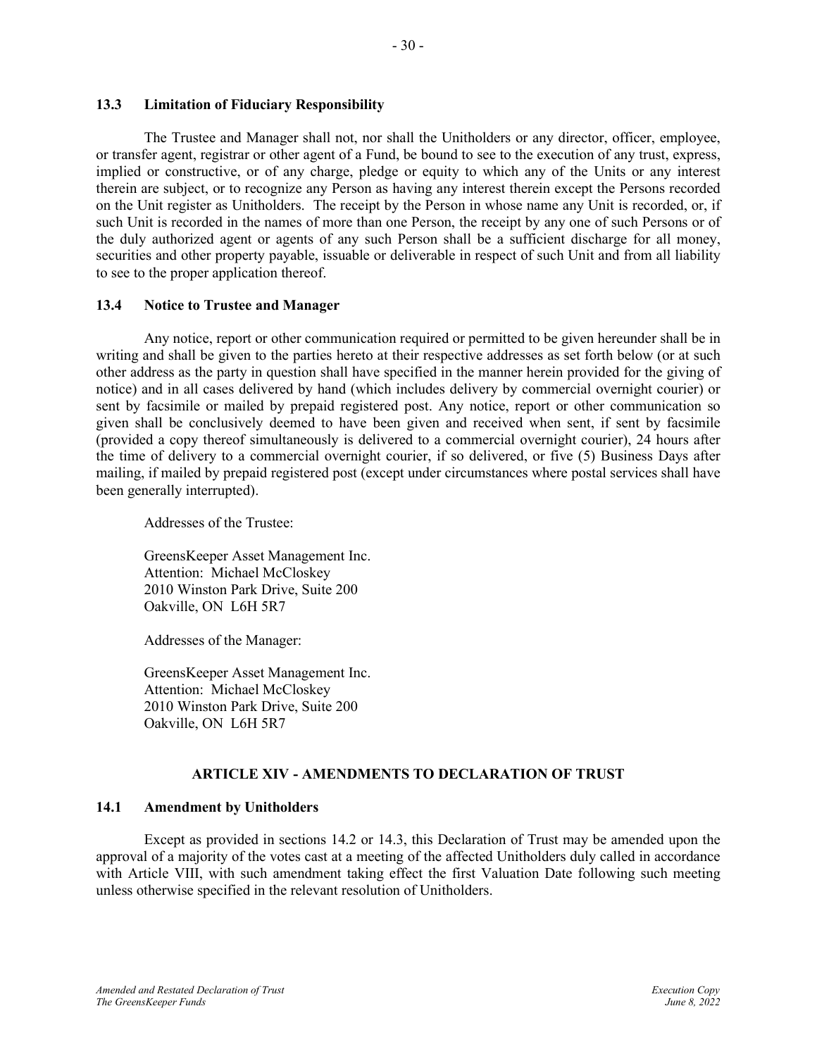## <span id="page-32-0"></span>**13.3 Limitation of Fiduciary Responsibility**

The Trustee and Manager shall not, nor shall the Unitholders or any director, officer, employee, or transfer agent, registrar or other agent of a Fund, be bound to see to the execution of any trust, express, implied or constructive, or of any charge, pledge or equity to which any of the Units or any interest therein are subject, or to recognize any Person as having any interest therein except the Persons recorded on the Unit register as Unitholders. The receipt by the Person in whose name any Unit is recorded, or, if such Unit is recorded in the names of more than one Person, the receipt by any one of such Persons or of the duly authorized agent or agents of any such Person shall be a sufficient discharge for all money, securities and other property payable, issuable or deliverable in respect of such Unit and from all liability to see to the proper application thereof.

## <span id="page-32-1"></span>**13.4 Notice to Trustee and Manager**

Any notice, report or other communication required or permitted to be given hereunder shall be in writing and shall be given to the parties hereto at their respective addresses as set forth below (or at such other address as the party in question shall have specified in the manner herein provided for the giving of notice) and in all cases delivered by hand (which includes delivery by commercial overnight courier) or sent by facsimile or mailed by prepaid registered post. Any notice, report or other communication so given shall be conclusively deemed to have been given and received when sent, if sent by facsimile (provided a copy thereof simultaneously is delivered to a commercial overnight courier), 24 hours after the time of delivery to a commercial overnight courier, if so delivered, or five (5) Business Days after mailing, if mailed by prepaid registered post (except under circumstances where postal services shall have been generally interrupted).

Addresses of the Trustee:

GreensKeeper Asset Management Inc. Attention: Michael McCloskey 2010 Winston Park Drive, Suite 200 Oakville, ON L6H 5R7

Addresses of the Manager:

GreensKeeper Asset Management Inc. Attention: Michael McCloskey 2010 Winston Park Drive, Suite 200 Oakville, ON L6H 5R7

## **ARTICLE XIV - AMENDMENTS TO DECLARATION OF TRUST**

## <span id="page-32-3"></span><span id="page-32-2"></span>**14.1 Amendment by Unitholders**

Except as provided in sections [14.2](#page-33-0) or [14.3,](#page-33-1) this Declaration of Trust may be amended upon the approval of a majority of the votes cast at a meeting of the affected Unitholders duly called in accordance with Article VIII, with such amendment taking effect the first Valuation Date following such meeting unless otherwise specified in the relevant resolution of Unitholders.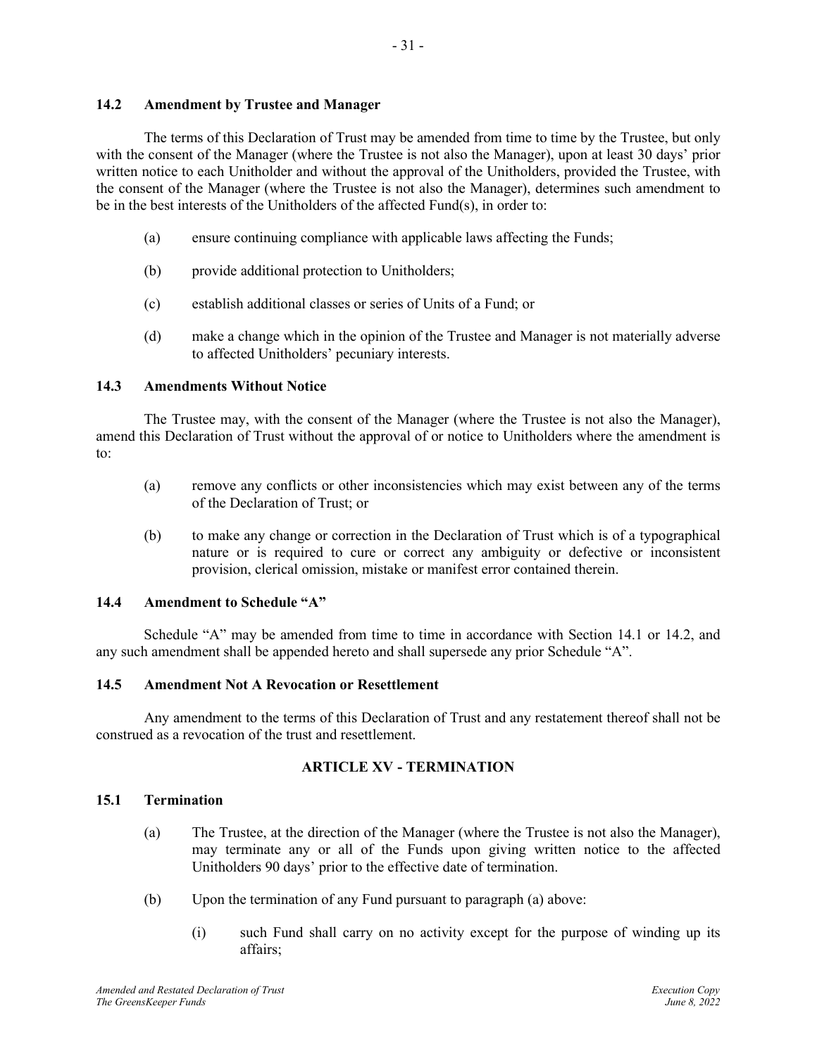## <span id="page-33-0"></span>**14.2 Amendment by Trustee and Manager**

The terms of this Declaration of Trust may be amended from time to time by the Trustee, but only with the consent of the Manager (where the Trustee is not also the Manager), upon at least 30 days' prior written notice to each Unitholder and without the approval of the Unitholders, provided the Trustee, with the consent of the Manager (where the Trustee is not also the Manager), determines such amendment to be in the best interests of the Unitholders of the affected Fund(s), in order to:

- 31 -

- (a) ensure continuing compliance with applicable laws affecting the Funds;
- (b) provide additional protection to Unitholders;
- (c) establish additional classes or series of Units of a Fund; or
- (d) make a change which in the opinion of the Trustee and Manager is not materially adverse to affected Unitholders' pecuniary interests.

## <span id="page-33-1"></span>**14.3 Amendments Without Notice**

The Trustee may, with the consent of the Manager (where the Trustee is not also the Manager), amend this Declaration of Trust without the approval of or notice to Unitholders where the amendment is to:

- (a) remove any conflicts or other inconsistencies which may exist between any of the terms of the Declaration of Trust; or
- (b) to make any change or correction in the Declaration of Trust which is of a typographical nature or is required to cure or correct any ambiguity or defective or inconsistent provision, clerical omission, mistake or manifest error contained therein.

## <span id="page-33-2"></span>**14.4 Amendment to Schedule "A"**

Schedule "A" may be amended from time to time in accordance with Section [14.1](#page-32-3) or [14.2,](#page-33-0) and any such amendment shall be appended hereto and shall supersede any prior Schedule "A".

## <span id="page-33-3"></span>**14.5 Amendment Not A Revocation or Resettlement**

Any amendment to the terms of this Declaration of Trust and any restatement thereof shall not be construed as a revocation of the trust and resettlement.

## **ARTICLE XV - TERMINATION**

#### <span id="page-33-5"></span><span id="page-33-4"></span>**15.1 Termination**

- (a) The Trustee, at the direction of the Manager (where the Trustee is not also the Manager), may terminate any or all of the Funds upon giving written notice to the affected Unitholders 90 days' prior to the effective date of termination.
- (b) Upon the termination of any Fund pursuant to paragraph (a) above:
	- (i) such Fund shall carry on no activity except for the purpose of winding up its affairs;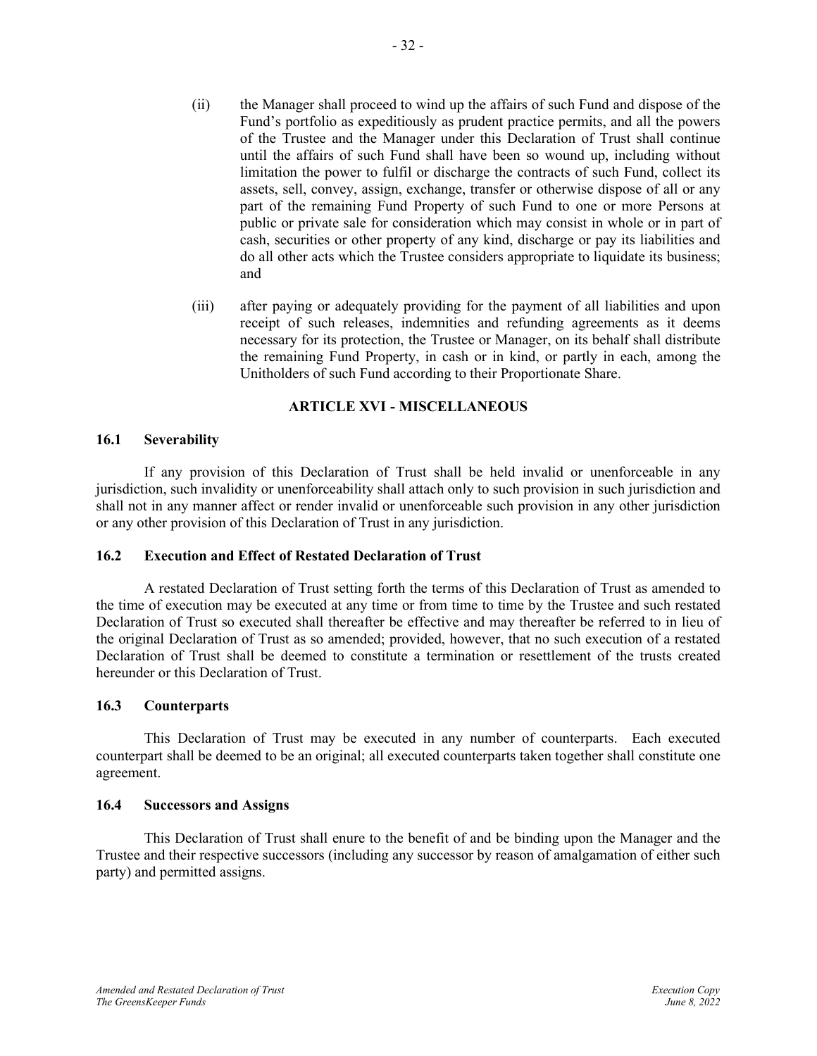- (ii) the Manager shall proceed to wind up the affairs of such Fund and dispose of the Fund's portfolio as expeditiously as prudent practice permits, and all the powers of the Trustee and the Manager under this Declaration of Trust shall continue until the affairs of such Fund shall have been so wound up, including without limitation the power to fulfil or discharge the contracts of such Fund, collect its assets, sell, convey, assign, exchange, transfer or otherwise dispose of all or any part of the remaining Fund Property of such Fund to one or more Persons at public or private sale for consideration which may consist in whole or in part of cash, securities or other property of any kind, discharge or pay its liabilities and do all other acts which the Trustee considers appropriate to liquidate its business; and
- (iii) after paying or adequately providing for the payment of all liabilities and upon receipt of such releases, indemnities and refunding agreements as it deems necessary for its protection, the Trustee or Manager, on its behalf shall distribute the remaining Fund Property, in cash or in kind, or partly in each, among the Unitholders of such Fund according to their Proportionate Share.

## **ARTICLE XVI - MISCELLANEOUS**

#### <span id="page-34-1"></span><span id="page-34-0"></span>**16.1 Severability**

If any provision of this Declaration of Trust shall be held invalid or unenforceable in any jurisdiction, such invalidity or unenforceability shall attach only to such provision in such jurisdiction and shall not in any manner affect or render invalid or unenforceable such provision in any other jurisdiction or any other provision of this Declaration of Trust in any jurisdiction.

## <span id="page-34-2"></span>**16.2 Execution and Effect of Restated Declaration of Trust**

A restated Declaration of Trust setting forth the terms of this Declaration of Trust as amended to the time of execution may be executed at any time or from time to time by the Trustee and such restated Declaration of Trust so executed shall thereafter be effective and may thereafter be referred to in lieu of the original Declaration of Trust as so amended; provided, however, that no such execution of a restated Declaration of Trust shall be deemed to constitute a termination or resettlement of the trusts created hereunder or this Declaration of Trust.

#### <span id="page-34-3"></span>**16.3 Counterparts**

This Declaration of Trust may be executed in any number of counterparts. Each executed counterpart shall be deemed to be an original; all executed counterparts taken together shall constitute one agreement.

#### <span id="page-34-4"></span>**16.4 Successors and Assigns**

This Declaration of Trust shall enure to the benefit of and be binding upon the Manager and the Trustee and their respective successors (including any successor by reason of amalgamation of either such party) and permitted assigns.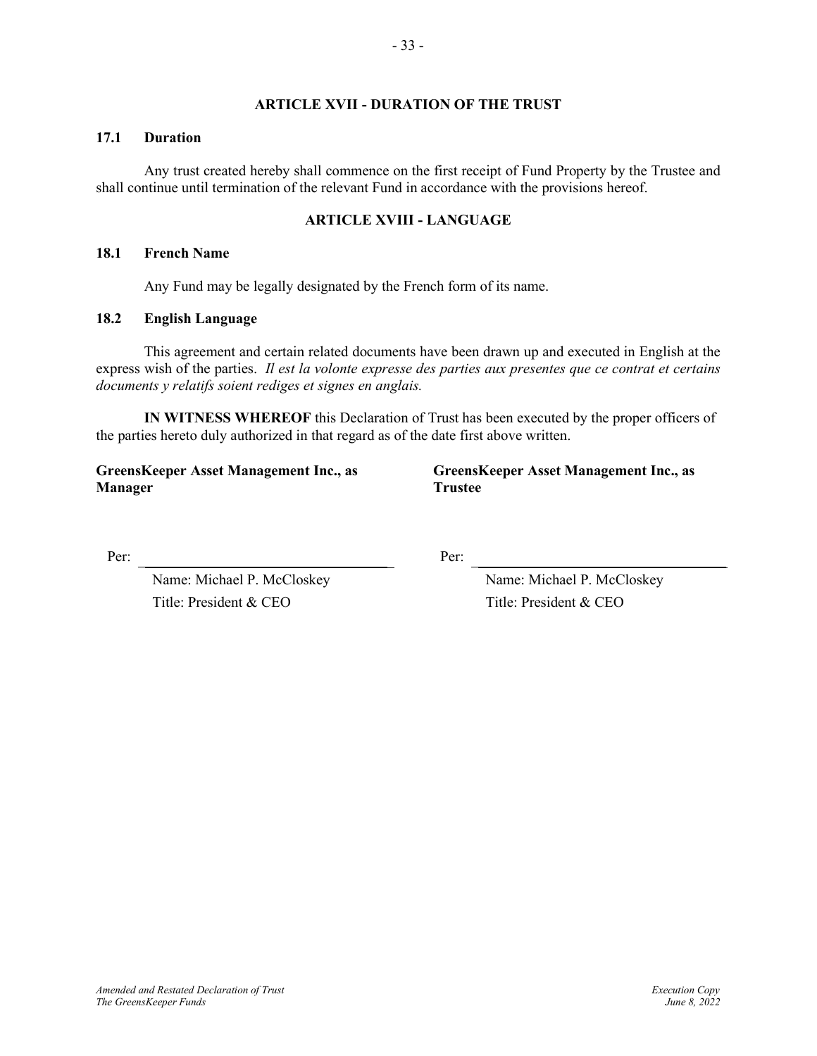## **ARTICLE XVII - DURATION OF THE TRUST**

#### <span id="page-35-1"></span><span id="page-35-0"></span>**17.1 Duration**

Any trust created hereby shall commence on the first receipt of Fund Property by the Trustee and shall continue until termination of the relevant Fund in accordance with the provisions hereof.

## **ARTICLE XVIII - LANGUAGE**

#### <span id="page-35-3"></span><span id="page-35-2"></span>**18.1 French Name**

Any Fund may be legally designated by the French form of its name.

## <span id="page-35-4"></span>**18.2 English Language**

This agreement and certain related documents have been drawn up and executed in English at the express wish of the parties. *Il est la volonte expresse des parties aux presentes que ce contrat et certains documents y relatifs soient rediges et signes en anglais.*

**IN WITNESS WHEREOF** this Declaration of Trust has been executed by the proper officers of the parties hereto duly authorized in that regard as of the date first above written.

**GreensKeeper Asset Management Inc., as Manager**

**GreensKeeper Asset Management Inc., as Trustee**

Per: Per:

Name: Michael P. McCloskey Title: President & CEO

Name: Michael P. McCloskey Title: President & CEO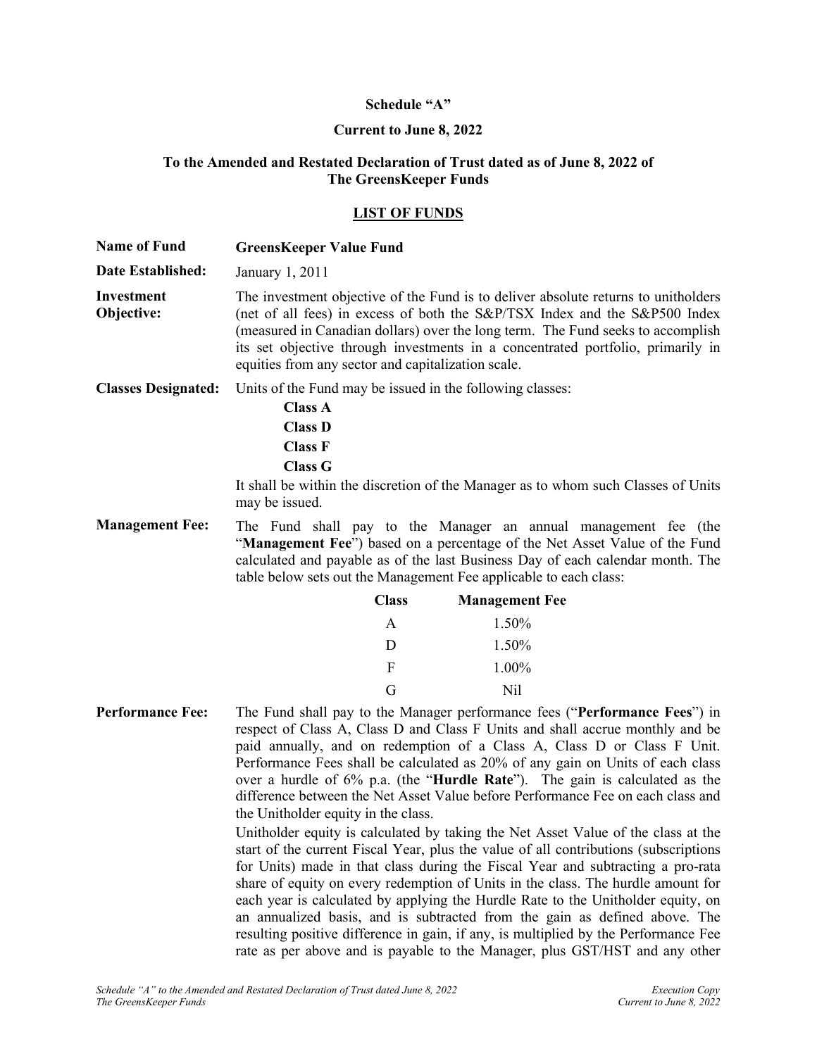# **Schedule "A"**

# **Current to June 8, 2022**

## **To the Amended and Restated Declaration of Trust dated as of June 8, 2022 of The GreensKeeper Funds**

## **LIST OF FUNDS**

| <b>Name of Fund</b>        | <b>GreensKeeper Value Fund</b>                                                                                                                                                                                                                                                                                                                                                                                                                                                                                                                                                                                                                                                                                                                                                                                                                                                                                                                                                                                                                                                                                                                                                                                                |
|----------------------------|-------------------------------------------------------------------------------------------------------------------------------------------------------------------------------------------------------------------------------------------------------------------------------------------------------------------------------------------------------------------------------------------------------------------------------------------------------------------------------------------------------------------------------------------------------------------------------------------------------------------------------------------------------------------------------------------------------------------------------------------------------------------------------------------------------------------------------------------------------------------------------------------------------------------------------------------------------------------------------------------------------------------------------------------------------------------------------------------------------------------------------------------------------------------------------------------------------------------------------|
| Date Established:          | January 1, 2011                                                                                                                                                                                                                                                                                                                                                                                                                                                                                                                                                                                                                                                                                                                                                                                                                                                                                                                                                                                                                                                                                                                                                                                                               |
| Investment<br>Objective:   | The investment objective of the Fund is to deliver absolute returns to unitholders<br>(net of all fees) in excess of both the S&P/TSX Index and the S&P500 Index<br>(measured in Canadian dollars) over the long term. The Fund seeks to accomplish<br>its set objective through investments in a concentrated portfolio, primarily in<br>equities from any sector and capitalization scale.                                                                                                                                                                                                                                                                                                                                                                                                                                                                                                                                                                                                                                                                                                                                                                                                                                  |
| <b>Classes Designated:</b> | Units of the Fund may be issued in the following classes:                                                                                                                                                                                                                                                                                                                                                                                                                                                                                                                                                                                                                                                                                                                                                                                                                                                                                                                                                                                                                                                                                                                                                                     |
|                            | <b>Class A</b><br><b>Class D</b><br><b>Class F</b><br><b>Class G</b>                                                                                                                                                                                                                                                                                                                                                                                                                                                                                                                                                                                                                                                                                                                                                                                                                                                                                                                                                                                                                                                                                                                                                          |
|                            | It shall be within the discretion of the Manager as to whom such Classes of Units<br>may be issued.                                                                                                                                                                                                                                                                                                                                                                                                                                                                                                                                                                                                                                                                                                                                                                                                                                                                                                                                                                                                                                                                                                                           |
| <b>Management Fee:</b>     | The Fund shall pay to the Manager an annual management fee (the<br>"Management Fee") based on a percentage of the Net Asset Value of the Fund<br>calculated and payable as of the last Business Day of each calendar month. The<br>table below sets out the Management Fee applicable to each class:                                                                                                                                                                                                                                                                                                                                                                                                                                                                                                                                                                                                                                                                                                                                                                                                                                                                                                                          |
|                            | <b>Class</b><br><b>Management Fee</b>                                                                                                                                                                                                                                                                                                                                                                                                                                                                                                                                                                                                                                                                                                                                                                                                                                                                                                                                                                                                                                                                                                                                                                                         |
|                            | 1.50%<br>A                                                                                                                                                                                                                                                                                                                                                                                                                                                                                                                                                                                                                                                                                                                                                                                                                                                                                                                                                                                                                                                                                                                                                                                                                    |
|                            | 1.50%<br>D                                                                                                                                                                                                                                                                                                                                                                                                                                                                                                                                                                                                                                                                                                                                                                                                                                                                                                                                                                                                                                                                                                                                                                                                                    |
|                            | F<br>1.00%                                                                                                                                                                                                                                                                                                                                                                                                                                                                                                                                                                                                                                                                                                                                                                                                                                                                                                                                                                                                                                                                                                                                                                                                                    |
|                            | G<br>N <sub>il</sub>                                                                                                                                                                                                                                                                                                                                                                                                                                                                                                                                                                                                                                                                                                                                                                                                                                                                                                                                                                                                                                                                                                                                                                                                          |
| <b>Performance Fee:</b>    | The Fund shall pay to the Manager performance fees ("Performance Fees") in<br>respect of Class A, Class D and Class F Units and shall accrue monthly and be<br>paid annually, and on redemption of a Class A, Class D or Class F Unit.<br>Performance Fees shall be calculated as 20% of any gain on Units of each class<br>over a hurdle of 6% p.a. (the "Hurdle Rate"). The gain is calculated as the<br>difference between the Net Asset Value before Performance Fee on each class and<br>the Unitholder equity in the class.<br>Unitholder equity is calculated by taking the Net Asset Value of the class at the<br>start of the current Fiscal Year, plus the value of all contributions (subscriptions<br>for Units) made in that class during the Fiscal Year and subtracting a pro-rata<br>share of equity on every redemption of Units in the class. The hurdle amount for<br>each year is calculated by applying the Hurdle Rate to the Unitholder equity, on<br>an annualized basis, and is subtracted from the gain as defined above. The<br>resulting positive difference in gain, if any, is multiplied by the Performance Fee<br>rate as per above and is payable to the Manager, plus GST/HST and any other |